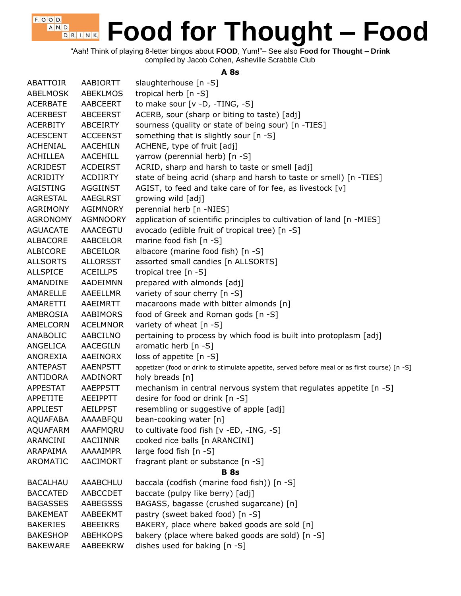"Aah! Think of playing 8-letter bingos about **FOOD**, Yum!"– See also **Food for Thought – Drink** compiled by Jacob Cohen, Asheville Scrabble Club

 $F$ , O, O, D, A N D

D R I N K

#### **A 8s**

| <b>ABATTOIR</b> | AABIORTT        | slaughterhouse [n -S]                                                                         |
|-----------------|-----------------|-----------------------------------------------------------------------------------------------|
| <b>ABELMOSK</b> | <b>ABEKLMOS</b> | tropical herb [n -S]                                                                          |
| <b>ACERBATE</b> | AABCEERT        | to make sour [v -D, -TING, -S]                                                                |
| <b>ACERBEST</b> | <b>ABCEERST</b> | ACERB, sour (sharp or biting to taste) [adj]                                                  |
| <b>ACERBITY</b> | ABCEIRTY        | sourness (quality or state of being sour) [n -TIES]                                           |
| <b>ACESCENT</b> | <b>ACCEENST</b> | something that is slightly sour [n -S]                                                        |
| <b>ACHENIAL</b> | <b>AACEHILN</b> | ACHENE, type of fruit [adj]                                                                   |
| ACHILLEA        | <b>AACEHILL</b> | yarrow (perennial herb) [n -S]                                                                |
| ACRIDEST        | <b>ACDEIRST</b> | ACRID, sharp and harsh to taste or smell [adj]                                                |
| ACRIDITY        | ACDIIRTY        | state of being acrid (sharp and harsh to taste or smell) [n -TIES]                            |
| AGISTING        | AGGIINST        | AGIST, to feed and take care of for fee, as livestock [v]                                     |
| AGRESTAL        | AAEGLRST        | growing wild [adj]                                                                            |
| AGRIMONY        | <b>AGIMNORY</b> | perennial herb [n -NIES]                                                                      |
| <b>AGRONOMY</b> | <b>AGMNOORY</b> | application of scientific principles to cultivation of land [n -MIES]                         |
| <b>AGUACATE</b> | <b>AAACEGTU</b> | avocado (edible fruit of tropical tree) [n -S]                                                |
| ALBACORE        | <b>AABCELOR</b> | marine food fish [n -S]                                                                       |
| ALBICORE        | ABCEILOR        | albacore (marine food fish) [n -S]                                                            |
| <b>ALLSORTS</b> | <b>ALLORSST</b> | assorted small candies [n ALLSORTS]                                                           |
| <b>ALLSPICE</b> | <b>ACEILLPS</b> | tropical tree [n -S]                                                                          |
| AMANDINE        | <b>AADEIMNN</b> | prepared with almonds [adj]                                                                   |
| AMARELLE        | AAEELLMR        | variety of sour cherry [n -S]                                                                 |
| AMARETTI        | AAEIMRTT        | macaroons made with bitter almonds [n]                                                        |
| AMBROSIA        | <b>AABIMORS</b> | food of Greek and Roman gods [n -S]                                                           |
| AMELCORN        | <b>ACELMNOR</b> | variety of wheat [n -S]                                                                       |
| ANABOLIC        | AABCILNO        | pertaining to process by which food is built into protoplasm [adj]                            |
| ANGELICA        | <b>AACEGILN</b> | aromatic herb $[n -S]$                                                                        |
| ANOREXIA        | AAEINORX        | loss of appetite [n -S]                                                                       |
| ANTEPAST        | <b>AAENPSTT</b> | appetizer (food or drink to stimulate appetite, served before meal or as first course) [n -S] |
| ANTIDORA        | AADINORT        | holy breads [n]                                                                               |
| APPESTAT        | AAEPPSTT        | mechanism in central nervous system that regulates appetite [n -S]                            |
| APPETITE        | AEEIPPTT        | desire for food or drink [n -S]                                                               |
| <b>APPLIEST</b> | <b>AEILPPST</b> | resembling or suggestive of apple [adj]                                                       |
| <b>AQUAFABA</b> | AAAABFQU        | bean-cooking water [n]                                                                        |
| <b>AQUAFARM</b> | AAAFMQRU        | to cultivate food fish [v -ED, -ING, -S]                                                      |
| ARANCINI        | AACIINNR        | cooked rice balls [n ARANCINI]                                                                |
| ARAPAIMA        | AAAAIMPR        | large food fish [n -S]                                                                        |
| AROMATIC        | <b>AACIMORT</b> | fragrant plant or substance [n -S]                                                            |
|                 |                 | <b>B</b> 8s                                                                                   |
| <b>BACALHAU</b> | AAABCHLU        | baccala (codfish (marine food fish)) [n -S]                                                   |
| <b>BACCATED</b> | AABCCDET        | baccate (pulpy like berry) [adj]                                                              |
| <b>BAGASSES</b> | <b>AABEGSSS</b> | BAGASS, bagasse (crushed sugarcane) [n]                                                       |
| <b>BAKEMEAT</b> | AABEEKMT        | pastry (sweet baked food) [n -S]                                                              |
| <b>BAKERIES</b> | ABEEIKRS        | BAKERY, place where baked goods are sold [n]                                                  |
| <b>BAKESHOP</b> | <b>ABEHKOPS</b> | bakery (place where baked goods are sold) [n -S]                                              |
| <b>BAKEWARE</b> | AABEEKRW        | dishes used for baking [n -S]                                                                 |
|                 |                 |                                                                                               |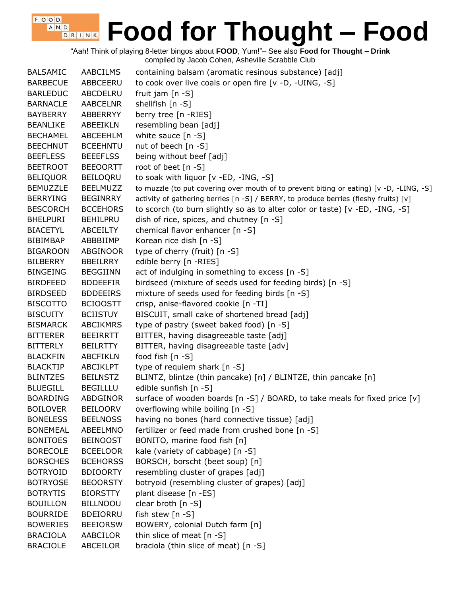"Aah! Think of playing 8-letter bingos about **FOOD**, Yum!"– See also **Food for Thought – Drink** compiled by Jacob Cohen, Asheville Scrabble Club

 $F$ , O, O, D, A N D

| <b>BALSAMIC</b> | <b>AABCILMS</b> | containing balsam (aromatic resinous substance) [adj]                                   |
|-----------------|-----------------|-----------------------------------------------------------------------------------------|
| <b>BARBECUE</b> | ABBCEERU        | to cook over live coals or open fire [v -D, -UING, -S]                                  |
| <b>BARLEDUC</b> | ABCDELRU        | fruit jam $[n - S]$                                                                     |
| <b>BARNACLE</b> | <b>AABCELNR</b> | shellfish [n -S]                                                                        |
| <b>BAYBERRY</b> | ABBERRYY        | berry tree [n -RIES]                                                                    |
| <b>BEANLIKE</b> | <b>ABEEIKLN</b> | resembling bean [adj]                                                                   |
| <b>BECHAMEL</b> | ABCEEHLM        | white sauce $[n - S]$                                                                   |
| <b>BEECHNUT</b> | <b>BCEEHNTU</b> | nut of beech $[n - S]$                                                                  |
| <b>BEEFLESS</b> | <b>BEEEFLSS</b> | being without beef [adj]                                                                |
| <b>BEETROOT</b> | <b>BEEOORTT</b> | root of beet [n -S]                                                                     |
| <b>BELIQUOR</b> | <b>BEILOORU</b> | to soak with liquor [v -ED, -ING, -S]                                                   |
| <b>BEMUZZLE</b> | <b>BEELMUZZ</b> | to muzzle (to put covering over mouth of to prevent biting or eating) [v -D, -LING, -S] |
| <b>BERRYING</b> | <b>BEGINRRY</b> | activity of gathering berries [n -S] / BERRY, to produce berries (fleshy fruits) [v]    |
| <b>BESCORCH</b> | <b>BCCEHORS</b> | to scorch (to burn slightly so as to alter color or taste) [v -ED, -ING, -S]            |
| <b>BHELPURI</b> | <b>BEHILPRU</b> | dish of rice, spices, and chutney [n -S]                                                |
| <b>BIACETYL</b> | <b>ABCEILTY</b> | chemical flavor enhancer [n -S]                                                         |
| <b>BIBIMBAP</b> | ABBBIIMP        | Korean rice dish [n -S]                                                                 |
| <b>BIGAROON</b> | ABGINOOR        | type of cherry (fruit) [n -S]                                                           |
| <b>BILBERRY</b> | <b>BBEILRRY</b> | edible berry [n -RIES]                                                                  |
| <b>BINGEING</b> | <b>BEGGIINN</b> | act of indulging in something to excess [n -S]                                          |
| <b>BIRDFEED</b> | <b>BDDEEFIR</b> | birdseed (mixture of seeds used for feeding birds) [n -S]                               |
| <b>BIRDSEED</b> | <b>BDDEEIRS</b> | mixture of seeds used for feeding birds [n -S]                                          |
| <b>BISCOTTO</b> | <b>BCIOOSTT</b> | crisp, anise-flavored cookie [n -TI]                                                    |
| <b>BISCUITY</b> | <b>BCIISTUY</b> | BISCUIT, small cake of shortened bread [adj]                                            |
| <b>BISMARCK</b> | <b>ABCIKMRS</b> | type of pastry (sweet baked food) [n -S]                                                |
| <b>BITTERER</b> | <b>BEEIRRTT</b> | BITTER, having disagreeable taste [adj]                                                 |
| <b>BITTERLY</b> | <b>BEILRTTY</b> | BITTER, having disagreeable taste [adv]                                                 |
| <b>BLACKFIN</b> | <b>ABCFIKLN</b> | food fish [n -S]                                                                        |
| <b>BLACKTIP</b> | <b>ABCIKLPT</b> | type of requiem shark [n -S]                                                            |
| <b>BLINTZES</b> | <b>BEILNSTZ</b> | BLINTZ, blintze (thin pancake) [n] / BLINTZE, thin pancake [n]                          |
| <b>BLUEGILL</b> | <b>BEGILLLU</b> | edible sunfish [n -S]                                                                   |
| <b>BOARDING</b> | <b>ABDGINOR</b> | surface of wooden boards $[n -S]$ / BOARD, to take meals for fixed price $[v]$          |
| <b>BOILOVER</b> | <b>BEILOORV</b> | overflowing while boiling [n -S]                                                        |
| <b>BONELESS</b> | <b>BEELNOSS</b> | having no bones (hard connective tissue) [adj]                                          |
| <b>BONEMEAL</b> | ABEELMNO        | fertilizer or feed made from crushed bone [n -S]                                        |
| <b>BONITOES</b> | <b>BEINOOST</b> | BONITO, marine food fish [n]                                                            |
| <b>BORECOLE</b> | <b>BCEELOOR</b> | kale (variety of cabbage) [n -S]                                                        |
| <b>BORSCHES</b> | <b>BCEHORSS</b> | BORSCH, borscht (beet soup) [n]                                                         |
| <b>BOTRYOID</b> | <b>BDIOORTY</b> | resembling cluster of grapes [adj]                                                      |
| <b>BOTRYOSE</b> | <b>BEOORSTY</b> | botryoid (resembling cluster of grapes) [adj]                                           |
| <b>BOTRYTIS</b> | <b>BIORSTTY</b> | plant disease [n -ES]                                                                   |
| <b>BOUILLON</b> | <b>BILLNOOU</b> | clear broth [n -S]                                                                      |
| <b>BOURRIDE</b> | <b>BDEIORRU</b> | fish stew [n -S]                                                                        |
| <b>BOWERIES</b> | <b>BEEIORSW</b> | BOWERY, colonial Dutch farm [n]                                                         |
| <b>BRACIOLA</b> | AABCILOR        | thin slice of meat [n -S]                                                               |
| <b>BRACIOLE</b> | ABCEILOR        | braciola (thin slice of meat) [n -S]                                                    |
|                 |                 |                                                                                         |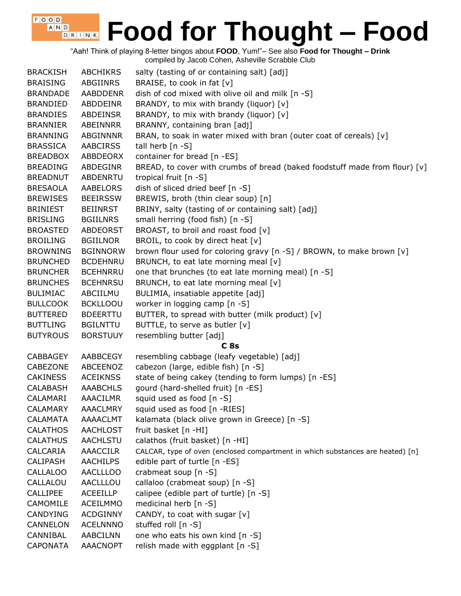"Aah! Think of playing 8-letter bingos about **FOOD**, Yum!"– See also **Food for Thought – Drink** compiled by Jacob Cohen, Asheville Scrabble Club

| <b>BRACKISH</b> | <b>ABCHIKRS</b> | salty (tasting of or containing salt) [adj]                                    |
|-----------------|-----------------|--------------------------------------------------------------------------------|
| <b>BRAISING</b> | ABGIINRS        | BRAISE, to cook in fat [v]                                                     |
| <b>BRANDADE</b> | AABDDENR        | dish of cod mixed with olive oil and milk [n -S]                               |
| <b>BRANDIED</b> | ABDDEINR        | BRANDY, to mix with brandy (liquor) [v]                                        |
| <b>BRANDIES</b> | <b>ABDEINSR</b> | BRANDY, to mix with brandy (liquor) [v]                                        |
| <b>BRANNIER</b> | ABEINNRR        | BRANNY, containing bran [adj]                                                  |
| <b>BRANNING</b> | ABGINNNR        | BRAN, to soak in water mixed with bran (outer coat of cereals) [v]             |
| <b>BRASSICA</b> | <b>AABCIRSS</b> | tall herb [n -S]                                                               |
| <b>BREADBOX</b> | ABBDEORX        | container for bread [n -ES]                                                    |
| <b>BREADING</b> | <b>ABDEGINR</b> | BREAD, to cover with crumbs of bread (baked foodstuff made from flour) [v]     |
| <b>BREADNUT</b> | ABDENRTU        | tropical fruit [n -S]                                                          |
| <b>BRESAOLA</b> | AABELORS        | dish of sliced dried beef [n -S]                                               |
| <b>BREWISES</b> | <b>BEEIRSSW</b> | BREWIS, broth (thin clear soup) [n]                                            |
| <b>BRINIEST</b> | <b>BEIINRST</b> | BRINY, salty (tasting of or containing salt) [adj]                             |
| <b>BRISLING</b> | <b>BGIILNRS</b> | small herring (food fish) [n -S]                                               |
| <b>BROASTED</b> | <b>ABDEORST</b> | BROAST, to broil and roast food [v]                                            |
| <b>BROILING</b> | <b>BGIILNOR</b> | BROIL, to cook by direct heat [v]                                              |
| <b>BROWNING</b> | <b>BGINNORW</b> | brown flour used for coloring gravy [n -S] / BROWN, to make brown [v]          |
| <b>BRUNCHED</b> | <b>BCDEHNRU</b> | BRUNCH, to eat late morning meal [v]                                           |
| <b>BRUNCHER</b> | <b>BCEHNRRU</b> | one that brunches (to eat late morning meal) [n -S]                            |
| <b>BRUNCHES</b> | <b>BCEHNRSU</b> | BRUNCH, to eat late morning meal [v]                                           |
| <b>BULIMIAC</b> | ABCIILMU        | BULIMIA, insatiable appetite [adj]                                             |
| <b>BULLCOOK</b> | <b>BCKLLOOU</b> | worker in logging camp [n -S]                                                  |
| <b>BUTTERED</b> | <b>BDEERTTU</b> | BUTTER, to spread with butter (milk product) [v]                               |
| <b>BUTTLING</b> | <b>BGILNTTU</b> | BUTTLE, to serve as butler [v]                                                 |
| <b>BUTYROUS</b> | <b>BORSTUUY</b> | resembling butter [adj]                                                        |
|                 |                 | C <sub>8s</sub>                                                                |
| CABBAGEY        | AABBCEGY        | resembling cabbage (leafy vegetable) [adj]                                     |
| CABEZONE        | ABCEENOZ        | cabezon (large, edible fish) [n -S]                                            |
| <b>CAKINESS</b> | <b>ACEIKNSS</b> | state of being cakey (tending to form lumps) [n -ES]                           |
| <b>CALABASH</b> | <b>AAABCHLS</b> | gourd (hard-shelled fruit) [n -ES]                                             |
| CALAMARI        | <b>AAACILMR</b> | squid used as food [n -S]                                                      |
| <b>CALAMARY</b> | <b>AAACLMRY</b> | squid used as food [n -RIES]                                                   |
| CALAMATA        | AAAACLMT        | kalamata (black olive grown in Greece) [n -S]                                  |
| <b>CALATHOS</b> | AACHLOST        | fruit basket [n -HI]                                                           |
| <b>CALATHUS</b> | AACHLSTU        | calathos (fruit basket) [n -HI]                                                |
| CALCARIA        | <b>AAACCILR</b> | CALCAR, type of oven (enclosed compartment in which substances are heated) [n] |
| <b>CALIPASH</b> | <b>AACHILPS</b> | edible part of turtle [n -ES]                                                  |
| <b>CALLALOO</b> | <b>AACLLLOO</b> | crabmeat soup [n -S]                                                           |
| CALLALOU        | AACLLLOU        | callaloo (crabmeat soup) [n -S]                                                |
| <b>CALLIPEE</b> | <b>ACEEILLP</b> | calipee (edible part of turtle) [n -S]                                         |
| <b>CAMOMILE</b> | <b>ACEILMMO</b> | medicinal herb [n -S]                                                          |
| CANDYING        | <b>ACDGINNY</b> | CANDY, to coat with sugar [v]                                                  |
| CANNELON        | <b>ACELNNNO</b> | stuffed roll [n -S]                                                            |
| CANNIBAL        | AABCILNN        | one who eats his own kind [n -S]                                               |
| <b>CAPONATA</b> | AAACNOPT        | relish made with eggplant [n -S]                                               |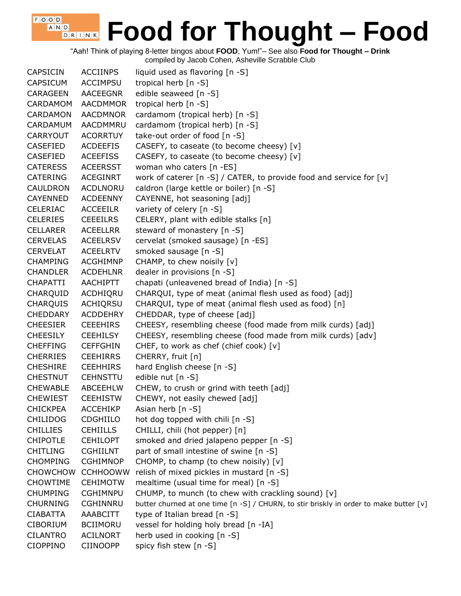"Aah! Think of playing 8-letter bingos about **FOOD**, Yum!"– See also **Food for Thought – Drink**

compiled by Jacob Cohen, Asheville Scrabble Club

 $F$ , O, O, D,

| <b>CAPSICIN</b> | <b>ACCIINPS</b> | liquid used as flavoring [n -S]                                                        |
|-----------------|-----------------|----------------------------------------------------------------------------------------|
| <b>CAPSICUM</b> | <b>ACCIMPSU</b> | tropical herb [n -S]                                                                   |
| <b>CARAGEEN</b> | AACEEGNR        | edible seaweed [n -S]                                                                  |
| <b>CARDAMOM</b> | <b>AACDMMOR</b> | tropical herb [n -S]                                                                   |
| <b>CARDAMON</b> | <b>AACDMNOR</b> | cardamom (tropical herb) [n -S]                                                        |
| CARDAMUM        | AACDMMRU        | cardamom (tropical herb) [n -S]                                                        |
| CARRYOUT        | <b>ACORRTUY</b> | take-out order of food [n -S]                                                          |
| <b>CASEFIED</b> | <b>ACDEEFIS</b> | CASEFY, to caseate (to become cheesy) [v]                                              |
| CASEFIED        | <b>ACEEFISS</b> | CASEFY, to caseate (to become cheesy) [v]                                              |
| <b>CATERESS</b> | <b>ACEERSST</b> | woman who caters [n -ES]                                                               |
| <b>CATERING</b> | <b>ACEGINRT</b> | work of caterer [n -S] / CATER, to provide food and service for [v]                    |
| <b>CAULDRON</b> | <b>ACDLNORU</b> | caldron (large kettle or boiler) [n -S]                                                |
| <b>CAYENNED</b> | <b>ACDEENNY</b> | CAYENNE, hot seasoning [adj]                                                           |
| <b>CELERIAC</b> | <b>ACCEEILR</b> | variety of celery [n -S]                                                               |
| <b>CELERIES</b> | <b>CEEEILRS</b> | CELERY, plant with edible stalks [n]                                                   |
| <b>CELLARER</b> | <b>ACEELLRR</b> | steward of monastery [n -S]                                                            |
| <b>CERVELAS</b> | <b>ACEELRSV</b> | cervelat (smoked sausage) [n -ES]                                                      |
| <b>CERVELAT</b> | <b>ACEELRTV</b> | smoked sausage [n -S]                                                                  |
| <b>CHAMPING</b> | <b>ACGHIMNP</b> | CHAMP, to chew noisily [v]                                                             |
| <b>CHANDLER</b> | <b>ACDEHLNR</b> | dealer in provisions [n -S]                                                            |
| <b>CHAPATTI</b> | AACHIPTT        | chapati (unleavened bread of India) [n -S]                                             |
| CHARQUID        | ACDHIQRU        | CHARQUI, type of meat (animal flesh used as food) [adj]                                |
| <b>CHARQUIS</b> | ACHIQRSU        | CHARQUI, type of meat (animal flesh used as food) [n]                                  |
| <b>CHEDDARY</b> | <b>ACDDEHRY</b> | CHEDDAR, type of cheese [adj]                                                          |
| <b>CHEESIER</b> | <b>CEEEHIRS</b> | CHEESY, resembling cheese (food made from milk curds) [adj]                            |
| <b>CHEESILY</b> | <b>CEEHILSY</b> | CHEESY, resembling cheese (food made from milk curds) [adv]                            |
| <b>CHEFFING</b> | <b>CEFFGHIN</b> | CHEF, to work as chef (chief cook) [v]                                                 |
| <b>CHERRIES</b> | <b>CEEHIRRS</b> | CHERRY, fruit [n]                                                                      |
| <b>CHESHIRE</b> | <b>CEEHHIRS</b> | hard English cheese [n -S]                                                             |
| <b>CHESTNUT</b> | <b>CEHNSTTU</b> | edible nut [n -S]                                                                      |
| <b>CHEWABLE</b> | <b>ABCEEHLW</b> | CHEW, to crush or grind with teeth [adj]                                               |
| <b>CHEWIEST</b> | <b>CEEHISTW</b> | CHEWY, not easily chewed [adj]                                                         |
| <b>CHICKPEA</b> | <b>ACCEHIKP</b> | Asian herb $[n - S]$                                                                   |
| <b>CHILIDOG</b> | <b>CDGHIILO</b> | hot dog topped with chili [n -S]                                                       |
| <b>CHILLIES</b> | <b>CEHIILLS</b> | CHILLI, chili (hot pepper) [n]                                                         |
| <b>CHIPOTLE</b> | <b>CEHILOPT</b> | smoked and dried jalapeno pepper [n -S]                                                |
| <b>CHITLING</b> | <b>CGHIILNT</b> | part of small intestine of swine [n -S]                                                |
| <b>CHOMPING</b> | <b>CGHIMNOP</b> | CHOMP, to champ (to chew noisily) [v]                                                  |
| <b>CHOWCHOW</b> | <b>CCHHOOWW</b> | relish of mixed pickles in mustard [n -S]                                              |
| <b>CHOWTIME</b> | <b>CEHIMOTW</b> | mealtime (usual time for meal) [n -S]                                                  |
| <b>CHUMPING</b> | <b>CGHIMNPU</b> | CHUMP, to munch (to chew with crackling sound) [v]                                     |
| <b>CHURNING</b> | <b>CGHINNRU</b> | butter churned at one time [n -S] / CHURN, to stir briskly in order to make butter [v] |
| <b>CIABATTA</b> | AAABCITT        | type of Italian bread [n -S]                                                           |
| <b>CIBORIUM</b> | <b>BCIIMORU</b> | vessel for holding holy bread [n -IA]                                                  |
| <b>CILANTRO</b> | <b>ACILNORT</b> | herb used in cooking [n -S]                                                            |
| <b>CIOPPINO</b> | <b>CIINOOPP</b> | spicy fish stew [n -S]                                                                 |
|                 |                 |                                                                                        |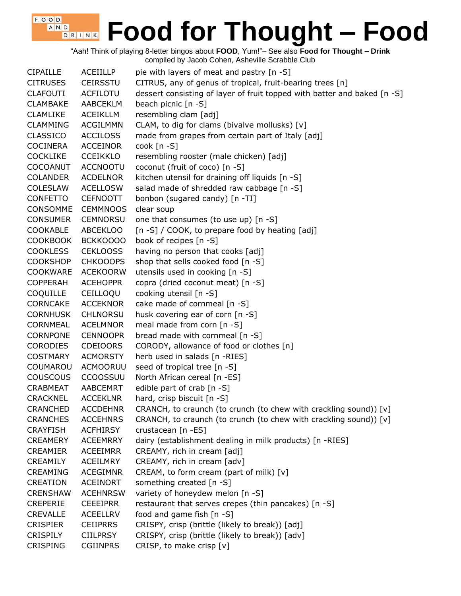"Aah! Think of playing 8-letter bingos about **FOOD**, Yum!"– See also **Food for Thought – Drink** compiled by Jacob Cohen, Asheville Scrabble Club

 $F$ , O, O, D, A N D

| <b>CIPAILLE</b> | <b>ACEIILLP</b> | pie with layers of meat and pastry [n -S]                                |
|-----------------|-----------------|--------------------------------------------------------------------------|
| <b>CITRUSES</b> | <b>CEIRSSTU</b> | CITRUS, any of genus of tropical, fruit-bearing trees [n]                |
| <b>CLAFOUTI</b> | <b>ACFILOTU</b> | dessert consisting of layer of fruit topped with batter and baked [n -S] |
| <b>CLAMBAKE</b> | AABCEKLM        | beach picnic [n -S]                                                      |
| <b>CLAMLIKE</b> | <b>ACEIKLLM</b> | resembling clam [adj]                                                    |
| <b>CLAMMING</b> | <b>ACGILMMN</b> | CLAM, to dig for clams (bivalve mollusks) [v]                            |
| <b>CLASSICO</b> | <b>ACCILOSS</b> | made from grapes from certain part of Italy [adj]                        |
| <b>COCINERA</b> | <b>ACCEINOR</b> | $\cosh$ [n -S]                                                           |
| <b>COCKLIKE</b> | <b>CCEIKKLO</b> | resembling rooster (male chicken) [adj]                                  |
| COCOANUT        | <b>ACCNOOTU</b> | coconut (fruit of coco) [n -S]                                           |
| <b>COLANDER</b> | <b>ACDELNOR</b> | kitchen utensil for draining off liquids [n -S]                          |
| <b>COLESLAW</b> | <b>ACELLOSW</b> | salad made of shredded raw cabbage [n -S]                                |
| <b>CONFETTO</b> | <b>CEFNOOTT</b> | bonbon (sugared candy) [n -TI]                                           |
| CONSOMME        | <b>CEMMNOOS</b> | clear soup                                                               |
| <b>CONSUMER</b> | CEMNORSU        | one that consumes (to use up) [n -S]                                     |
| <b>COOKABLE</b> | <b>ABCEKLOO</b> | [n -S] / COOK, to prepare food by heating [adj]                          |
| <b>COOKBOOK</b> | BCKKOOOO        | book of recipes [n -S]                                                   |
| <b>COOKLESS</b> | <b>CEKLOOSS</b> | having no person that cooks [adj]                                        |
| <b>COOKSHOP</b> | <b>CHKOOOPS</b> | shop that sells cooked food [n -S]                                       |
| <b>COOKWARE</b> | <b>ACEKOORW</b> | utensils used in cooking [n -S]                                          |
| <b>COPPERAH</b> | <b>ACEHOPPR</b> | copra (dried coconut meat) [n -S]                                        |
| <b>COQUILLE</b> | CEILLOQU        | cooking utensil [n -S]                                                   |
| <b>CORNCAKE</b> | <b>ACCEKNOR</b> | cake made of cornmeal [n -S]                                             |
| <b>CORNHUSK</b> | <b>CHLNORSU</b> | husk covering ear of corn [n -S]                                         |
| CORNMEAL        | <b>ACELMNOR</b> | meal made from corn [n -S]                                               |
| <b>CORNPONE</b> | <b>CENNOOPR</b> | bread made with cornmeal [n -S]                                          |
| <b>CORODIES</b> | <b>CDEIOORS</b> | CORODY, allowance of food or clothes [n]                                 |
| <b>COSTMARY</b> | <b>ACMORSTY</b> | herb used in salads [n -RIES]                                            |
| COUMAROU        | ACMOORUU        | seed of tropical tree [n -S]                                             |
| <b>COUSCOUS</b> | <b>CCOOSSUU</b> | North African cereal [n -ES]                                             |
| <b>CRABMEAT</b> | AABCEMRT        | edible part of crab [n -S]                                               |
| CRACKNEL        | <b>ACCEKLNR</b> | hard, crisp biscuit [n -S]                                               |
| <b>CRANCHED</b> | <b>ACCDEHNR</b> | CRANCH, to craunch (to crunch (to chew with crackling sound)) [v]        |
| <b>CRANCHES</b> | <b>ACCEHNRS</b> | CRANCH, to craunch (to crunch (to chew with crackling sound)) [v]        |
| <b>CRAYFISH</b> | <b>ACFHIRSY</b> | crustacean [n -ES]                                                       |
| <b>CREAMERY</b> | <b>ACEEMRRY</b> | dairy (establishment dealing in milk products) [n -RIES]                 |
| <b>CREAMIER</b> | <b>ACEEIMRR</b> | CREAMY, rich in cream [adj]                                              |
| CREAMILY        | <b>ACEILMRY</b> | CREAMY, rich in cream [adv]                                              |
| <b>CREAMING</b> | <b>ACEGIMNR</b> | CREAM, to form cream (part of milk) [v]                                  |
| <b>CREATION</b> | <b>ACEINORT</b> | something created [n -S]                                                 |
| <b>CRENSHAW</b> | <b>ACEHNRSW</b> | variety of honeydew melon [n -S]                                         |
| <b>CREPERIE</b> | <b>CEEEIPRR</b> | restaurant that serves crepes (thin pancakes) [n -S]                     |
| <b>CREVALLE</b> | <b>ACEELLRV</b> | food and game fish [n -S]                                                |
| <b>CRISPIER</b> | <b>CEIIPRRS</b> | CRISPY, crisp (brittle (likely to break)) [adj]                          |
| <b>CRISPILY</b> | <b>CIILPRSY</b> | CRISPY, crisp (brittle (likely to break)) [adv]                          |
| <b>CRISPING</b> | <b>CGIINPRS</b> | CRISP, to make crisp [v]                                                 |
|                 |                 |                                                                          |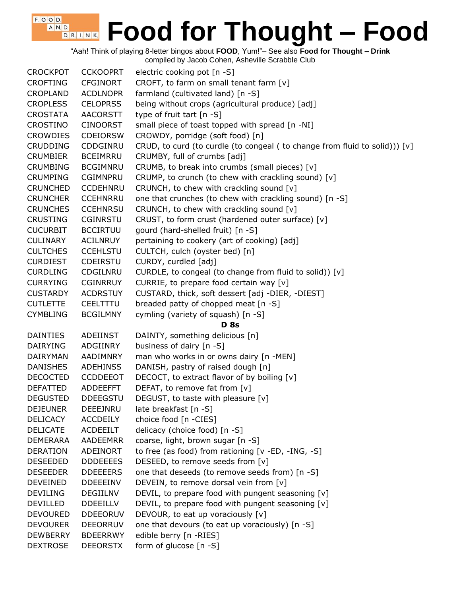"Aah! Think of playing 8-letter bingos about **FOOD**, Yum!"– See also **Food for Thought – Drink**

compiled by Jacob Cohen, Asheville Scrabble Club

 $F$ , O, O, D,

| <b>CROCKPOT</b> | <b>CCKOOPRT</b> | electric cooking pot [n -S]                                                |
|-----------------|-----------------|----------------------------------------------------------------------------|
| <b>CROFTING</b> | <b>CFGINORT</b> | CROFT, to farm on small tenant farm [v]                                    |
| <b>CROPLAND</b> | <b>ACDLNOPR</b> | farmland (cultivated land) [n -S]                                          |
| <b>CROPLESS</b> | <b>CELOPRSS</b> | being without crops (agricultural produce) [adj]                           |
| <b>CROSTATA</b> | <b>AACORSTT</b> | type of fruit tart [n -S]                                                  |
| <b>CROSTINO</b> | <b>CINOORST</b> | small piece of toast topped with spread [n -NI]                            |
| <b>CROWDIES</b> | <b>CDEIORSW</b> | CROWDY, porridge (soft food) [n]                                           |
| <b>CRUDDING</b> | CDDGINRU        | CRUD, to curd (to curdle (to congeal (to change from fluid to solid))) [v] |
| <b>CRUMBIER</b> | <b>BCEIMRRU</b> | CRUMBY, full of crumbs [adj]                                               |
| <b>CRUMBING</b> | <b>BCGIMNRU</b> | CRUMB, to break into crumbs (small pieces) [v]                             |
| <b>CRUMPING</b> | <b>CGIMNPRU</b> | CRUMP, to crunch (to chew with crackling sound) [v]                        |
| <b>CRUNCHED</b> | <b>CCDEHNRU</b> | CRUNCH, to chew with crackling sound [v]                                   |
| <b>CRUNCHER</b> | <b>CCEHNRRU</b> | one that crunches (to chew with crackling sound) [n -S]                    |
| <b>CRUNCHES</b> | <b>CCEHNRSU</b> | CRUNCH, to chew with crackling sound [v]                                   |
| <b>CRUSTING</b> | CGINRSTU        | CRUST, to form crust (hardened outer surface) [v]                          |
| <b>CUCURBIT</b> | <b>BCCIRTUU</b> | gourd (hard-shelled fruit) [n -S]                                          |
| <b>CULINARY</b> | <b>ACILNRUY</b> | pertaining to cookery (art of cooking) [adj]                               |
| <b>CULTCHES</b> | <b>CCEHLSTU</b> | CULTCH, culch (oyster bed) [n]                                             |
| <b>CURDIEST</b> | CDEIRSTU        | CURDY, curdled [adj]                                                       |
| <b>CURDLING</b> | CDGILNRU        | CURDLE, to congeal (to change from fluid to solid)) [v]                    |
| <b>CURRYING</b> | <b>CGINRRUY</b> | CURRIE, to prepare food certain way [v]                                    |
| <b>CUSTARDY</b> | <b>ACDRSTUY</b> | CUSTARD, thick, soft dessert [adj -DIER, -DIEST]                           |
| <b>CUTLETTE</b> | CEELTTTU        | breaded patty of chopped meat [n -S]                                       |
| <b>CYMBLING</b> | <b>BCGILMNY</b> | cymling (variety of squash) [n -S]                                         |
|                 |                 |                                                                            |
|                 |                 | <b>D</b> 8s                                                                |
| <b>DAINTIES</b> | ADEIINST        | DAINTY, something delicious [n]                                            |
| <b>DAIRYING</b> | ADGIINRY        | business of dairy [n -S]                                                   |
| DAIRYMAN        | AADIMNRY        | man who works in or owns dairy [n -MEN]                                    |
| <b>DANISHES</b> | <b>ADEHINSS</b> | DANISH, pastry of raised dough [n]                                         |
| <b>DECOCTED</b> | <b>CCDDEEOT</b> | DECOCT, to extract flavor of by boiling [v]                                |
| <b>DEFATTED</b> | ADDEEFFT        | DEFAT, to remove fat from [v]                                              |
| <b>DEGUSTED</b> | <b>DDEEGSTU</b> | DEGUST, to taste with pleasure [v]                                         |
| <b>DEJEUNER</b> | DEEEJNRU        | late breakfast [n -S]                                                      |
| <b>DELICACY</b> | <b>ACCDEILY</b> | choice food [n -CIES]                                                      |
| <b>DELICATE</b> | <b>ACDEEILT</b> | delicacy (choice food) [n -S]                                              |
| <b>DEMERARA</b> | <b>AADEEMRR</b> | coarse, light, brown sugar [n -S]                                          |
| <b>DERATION</b> | ADEINORT        | to free (as food) from rationing [v -ED, -ING, -S]                         |
| <b>DESEEDED</b> | <b>DDDEEEES</b> | DESEED, to remove seeds from [v]                                           |
| <b>DESEEDER</b> | <b>DDEEEERS</b> | one that deseeds (to remove seeds from) [n -S]                             |
| <b>DEVEINED</b> | <b>DDEEEINV</b> | DEVEIN, to remove dorsal vein from [v]                                     |
| <b>DEVILING</b> | DEGIILNV        | DEVIL, to prepare food with pungent seasoning [v]                          |
| <b>DEVILLED</b> | <b>DDEEILLV</b> | DEVIL, to prepare food with pungent seasoning [v]                          |
| <b>DEVOURED</b> | <b>DDEEORUV</b> | DEVOUR, to eat up voraciously [v]                                          |
| <b>DEVOURER</b> | <b>DEEORRUV</b> | one that devours (to eat up voraciously) [n -S]                            |
| <b>DEWBERRY</b> | <b>BDEERRWY</b> | edible berry [n -RIES]                                                     |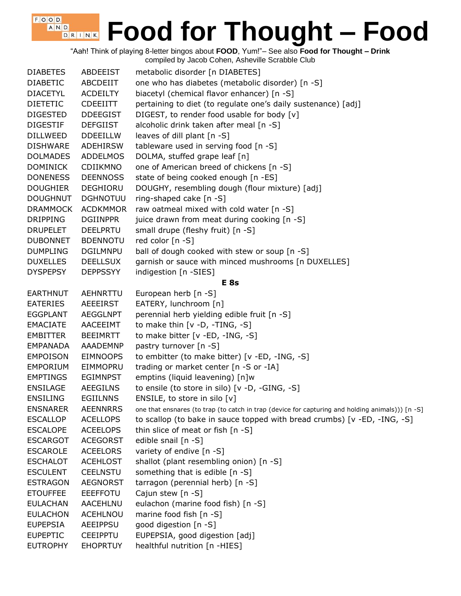"Aah! Think of playing 8-letter bingos about **FOOD**, Yum!"– See also **Food for Thought – Drink**

compiled by Jacob Cohen, Asheville Scrabble Club

| <b>DIABETES</b> | ABDEEIST        | metabolic disorder [n DIABETES]                                                                  |
|-----------------|-----------------|--------------------------------------------------------------------------------------------------|
| <b>DIABETIC</b> | ABCDEIIT        | one who has diabetes (metabolic disorder) [n -S]                                                 |
| <b>DIACETYL</b> | <b>ACDEILTY</b> | biacetyl (chemical flavor enhancer) [n -S]                                                       |
| <b>DIETETIC</b> | <b>CDEEIITT</b> | pertaining to diet (to regulate one's daily sustenance) [adj]                                    |
| <b>DIGESTED</b> | <b>DDEEGIST</b> | DIGEST, to render food usable for body [v]                                                       |
| <b>DIGESTIF</b> | <b>DEFGIIST</b> | alcoholic drink taken after meal [n -S]                                                          |
| <b>DILLWEED</b> | <b>DDEEILLW</b> | leaves of dill plant [n -S]                                                                      |
| <b>DISHWARE</b> | ADEHIRSW        | tableware used in serving food [n -S]                                                            |
| <b>DOLMADES</b> | <b>ADDELMOS</b> | DOLMA, stuffed grape leaf [n]                                                                    |
| <b>DOMINICK</b> | CDIIKMNO        | one of American breed of chickens [n -S]                                                         |
| <b>DONENESS</b> | <b>DEENNOSS</b> | state of being cooked enough [n -ES]                                                             |
| <b>DOUGHIER</b> | <b>DEGHIORU</b> | DOUGHY, resembling dough (flour mixture) [adj]                                                   |
| <b>DOUGHNUT</b> | <b>DGHNOTUU</b> | ring-shaped cake [n -S]                                                                          |
| <b>DRAMMOCK</b> | <b>ACDKMMOR</b> | raw oatmeal mixed with cold water [n -S]                                                         |
| <b>DRIPPING</b> | <b>DGIINPPR</b> | juice drawn from meat during cooking [n -S]                                                      |
| <b>DRUPELET</b> | <b>DEELPRTU</b> | small drupe (fleshy fruit) [n -S]                                                                |
| <b>DUBONNET</b> | <b>BDENNOTU</b> | red color [n -S]                                                                                 |
| <b>DUMPLING</b> | <b>DGILMNPU</b> | ball of dough cooked with stew or soup [n -S]                                                    |
| <b>DUXELLES</b> | <b>DEELLSUX</b> | garnish or sauce with minced mushrooms [n DUXELLES]                                              |
| <b>DYSPEPSY</b> | <b>DEPPSSYY</b> | indigestion [n -SIES]                                                                            |
|                 |                 | E <sub>8s</sub>                                                                                  |
| <b>EARTHNUT</b> | <b>AEHNRTTU</b> | European herb [n -S]                                                                             |
| <b>EATERIES</b> | AEEEIRST        | EATERY, lunchroom [n]                                                                            |
| <b>EGGPLANT</b> | <b>AEGGLNPT</b> | perennial herb yielding edible fruit [n -S]                                                      |
| <b>EMACIATE</b> | AACEEIMT        | to make thin $[v -D, -TING, -S]$                                                                 |
| <b>EMBITTER</b> | <b>BEEIMRTT</b> | to make bitter [v -ED, -ING, -S]                                                                 |
| <b>EMPANADA</b> | AAADEMNP        | pastry turnover [n -S]                                                                           |
| <b>EMPOISON</b> | <b>EIMNOOPS</b> | to embitter (to make bitter) [v -ED, -ING, -S]                                                   |
| <b>EMPORIUM</b> | EIMMOPRU        | trading or market center [n -S or -IA]                                                           |
| <b>EMPTINGS</b> | <b>EGIMNPST</b> | emptins (liquid leavening) [n]w                                                                  |
| <b>ENSILAGE</b> | <b>AEEGILNS</b> | to ensile (to store in silo) [v -D, -GING, -S]                                                   |
| <b>ENSILING</b> | <b>EGIILNNS</b> | ENSILE, to store in silo [v]                                                                     |
| <b>ENSNARER</b> | <b>AEENNRRS</b> | one that ensnares (to trap (to catch in trap (device for capturing and holding animals))) [n -S] |
| <b>ESCALLOP</b> | <b>ACELLOPS</b> | to scallop (to bake in sauce topped with bread crumbs) [v -ED, -ING, -S]                         |
| <b>ESCALOPE</b> | <b>ACEELOPS</b> | thin slice of meat or fish [n -S]                                                                |
| <b>ESCARGOT</b> | <b>ACEGORST</b> | edible snail [n -S]                                                                              |
| <b>ESCAROLE</b> | <b>ACEELORS</b> | variety of endive [n -S]                                                                         |
| <b>ESCHALOT</b> | <b>ACEHLOST</b> | shallot (plant resembling onion) [n -S]                                                          |
| <b>ESCULENT</b> | <b>CEELNSTU</b> | something that is edible [n -S]                                                                  |
| <b>ESTRAGON</b> | <b>AEGNORST</b> | tarragon (perennial herb) [n -S]                                                                 |
| <b>ETOUFFEE</b> | <b>EEEFFOTU</b> | Cajun stew [n -S]                                                                                |
| <b>EULACHAN</b> | <b>AACEHLNU</b> | eulachon (marine food fish) [n -S]                                                               |
| <b>EULACHON</b> | <b>ACEHLNOU</b> | marine food fish [n -S]                                                                          |
| <b>EUPEPSIA</b> | AEEIPPSU        | good digestion [n -S]                                                                            |
| <b>EUPEPTIC</b> | <b>CEEIPPTU</b> | EUPEPSIA, good digestion [adj]                                                                   |
| <b>EUTROPHY</b> | <b>EHOPRTUY</b> | healthful nutrition [n -HIES]                                                                    |
|                 |                 |                                                                                                  |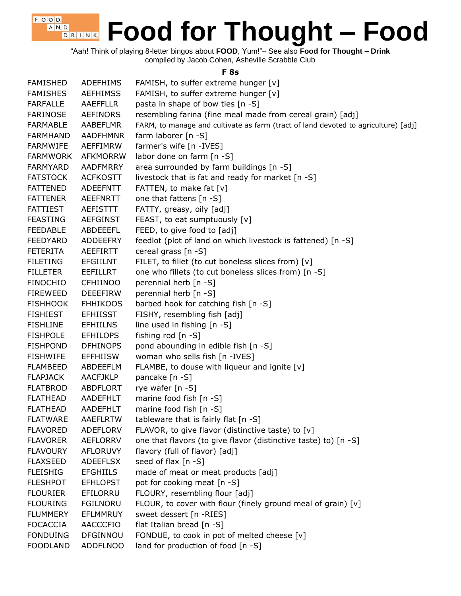$F$ , O, O, D, **Food for Thought – Food** A N D D R I N K

"Aah! Think of playing 8-letter bingos about **FOOD**, Yum!"– See also **Food for Thought – Drink** compiled by Jacob Cohen, Asheville Scrabble Club

#### **F 8s**

| <b>FAMISHED</b> | <b>ADEFHIMS</b> | FAMISH, to suffer extreme hunger [v]                                               |
|-----------------|-----------------|------------------------------------------------------------------------------------|
| <b>FAMISHES</b> | <b>AEFHIMSS</b> | FAMISH, to suffer extreme hunger [v]                                               |
| <b>FARFALLE</b> | <b>AAEFFLLR</b> | pasta in shape of bow ties [n -S]                                                  |
| <b>FARINOSE</b> | <b>AEFINORS</b> | resembling farina (fine meal made from cereal grain) [adj]                         |
| <b>FARMABLE</b> | AABEFLMR        | FARM, to manage and cultivate as farm (tract of land devoted to agriculture) [adj] |
| <b>FARMHAND</b> | <b>AADFHMNR</b> | farm laborer [n -S]                                                                |
| <b>FARMWIFE</b> | AEFFIMRW        | farmer's wife [n -IVES]                                                            |
| <b>FARMWORK</b> | <b>AFKMORRW</b> | labor done on farm [n -S]                                                          |
| <b>FARMYARD</b> | <b>AADFMRRY</b> | area surrounded by farm buildings [n -S]                                           |
| <b>FATSTOCK</b> | <b>ACFKOSTT</b> | livestock that is fat and ready for market [n -S]                                  |
| <b>FATTENED</b> | ADEEFNTT        | FATTEN, to make fat [v]                                                            |
| <b>FATTENER</b> | AEEFNRTT        | one that fattens [n -S]                                                            |
| <b>FATTIEST</b> | <b>AEFISTTT</b> | FATTY, greasy, oily [adj]                                                          |
| <b>FEASTING</b> | AEFGINST        | FEAST, to eat sumptuously [v]                                                      |
| <b>FEEDABLE</b> | ABDEEEFL        | FEED, to give food to [adj]                                                        |
| <b>FEEDYARD</b> | <b>ADDEEFRY</b> | feedlot (plot of land on which livestock is fattened) [n -S]                       |
| <b>FETERITA</b> | <b>AEEFIRTT</b> | cereal grass [n -S]                                                                |
| <b>FILETING</b> | <b>EFGIILNT</b> | FILET, to fillet (to cut boneless slices from) [v]                                 |
| <b>FILLETER</b> | <b>EEFILLRT</b> | one who fillets (to cut boneless slices from) [n -S]                               |
| <b>FINOCHIO</b> | <b>CFHIINOO</b> | perennial herb [n -S]                                                              |
| <b>FIREWEED</b> | <b>DEEEFIRW</b> | perennial herb [n -S]                                                              |
| <b>FISHHOOK</b> | <b>FHHIKOOS</b> | barbed hook for catching fish [n -S]                                               |
| <b>FISHIEST</b> | <b>EFHIISST</b> | FISHY, resembling fish [adj]                                                       |
| <b>FISHLINE</b> | <b>EFHIILNS</b> | line used in fishing [n -S]                                                        |
| <b>FISHPOLE</b> | <b>EFHILOPS</b> | fishing rod [n -S]                                                                 |
| <b>FISHPOND</b> | <b>DFHINOPS</b> | pond abounding in edible fish [n -S]                                               |
| <b>FISHWIFE</b> | <b>EFFHIISW</b> | woman who sells fish [n -IVES]                                                     |
| <b>FLAMBEED</b> | ABDEEFLM        | FLAMBE, to douse with liqueur and ignite [v]                                       |
| <b>FLAPJACK</b> | <b>AACFJKLP</b> | pancake [n -S]                                                                     |
| <b>FLATBROD</b> | ABDFLORT        | rye wafer [n -S]                                                                   |
| <b>FLATHEAD</b> | AADEFHLT        | marine food fish [n -S]                                                            |
| <b>FLATHEAD</b> | AADEFHLT        | marine food fish [n -S]                                                            |
| <b>FLATWARE</b> | <b>AAEFLRTW</b> | tableware that is fairly flat [n -S]                                               |
| <b>FLAVORED</b> | ADEFLORV        | FLAVOR, to give flavor (distinctive taste) to [v]                                  |
| <b>FLAVORER</b> | AEFLORRV        | one that flavors (to give flavor (distinctive taste) to) [n -S]                    |
| <b>FLAVOURY</b> | <b>AFLORUVY</b> | flavory (full of flavor) [adj]                                                     |
| <b>FLAXSEED</b> | <b>ADEEFLSX</b> | seed of flax [n -S]                                                                |
| <b>FLEISHIG</b> | <b>EFGHIILS</b> | made of meat or meat products [adj]                                                |
| <b>FLESHPOT</b> | <b>EFHLOPST</b> | pot for cooking meat [n -S]                                                        |
| <b>FLOURIER</b> | EFILORRU        | FLOURY, resembling flour [adj]                                                     |
| <b>FLOURING</b> | <b>FGILNORU</b> | FLOUR, to cover with flour (finely ground meal of grain) [v]                       |
| <b>FLUMMERY</b> | EFLMMRUY        | sweet dessert [n -RIES]                                                            |
| <b>FOCACCIA</b> | AACCCFIO        | flat Italian bread [n -S]                                                          |
| <b>FONDUING</b> | DFGINNOU        | FONDUE, to cook in pot of melted cheese [v]                                        |
| <b>FOODLAND</b> | <b>ADDFLNOO</b> | land for production of food [n -S]                                                 |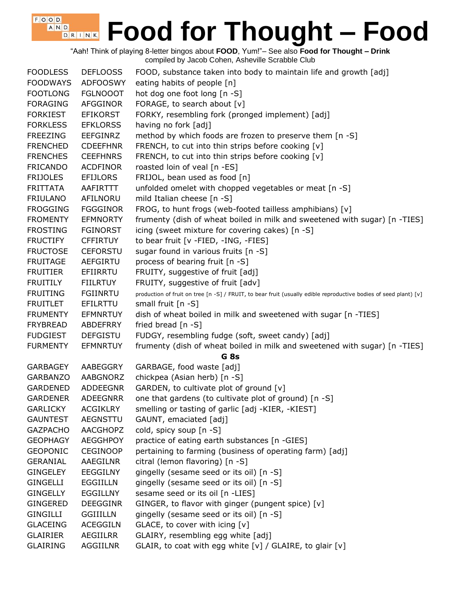"Aah! Think of playing 8-letter bingos about **FOOD**, Yum!"– See also **Food for Thought – Drink** compiled by Jacob Cohen, Asheville Scrabble Club

| <b>FOODLESS</b> | <b>DEFLOOSS</b> | FOOD, substance taken into body to maintain life and growth [adj]                                                |
|-----------------|-----------------|------------------------------------------------------------------------------------------------------------------|
| <b>FOODWAYS</b> | <b>ADFOOSWY</b> | eating habits of people [n]                                                                                      |
| <b>FOOTLONG</b> | <b>FGLNOOOT</b> | hot dog one foot long [n -S]                                                                                     |
| <b>FORAGING</b> | AFGGINOR        | FORAGE, to search about [v]                                                                                      |
| <b>FORKIEST</b> | <b>EFIKORST</b> | FORKY, resembling fork (pronged implement) [adj]                                                                 |
| <b>FORKLESS</b> | <b>EFKLORSS</b> | having no fork [adj]                                                                                             |
| <b>FREEZING</b> | EEFGINRZ        | method by which foods are frozen to preserve them [n -S]                                                         |
| <b>FRENCHED</b> | <b>CDEEFHNR</b> | FRENCH, to cut into thin strips before cooking [v]                                                               |
| <b>FRENCHES</b> | <b>CEEFHNRS</b> | FRENCH, to cut into thin strips before cooking [v]                                                               |
| <b>FRICANDO</b> | <b>ACDFINOR</b> | roasted loin of veal [n -ES]                                                                                     |
| <b>FRIJOLES</b> | <b>EFIJLORS</b> | FRIJOL, bean used as food [n]                                                                                    |
| <b>FRITTATA</b> | AAFIRTTT        | unfolded omelet with chopped vegetables or meat [n -S]                                                           |
| <b>FRIULANO</b> | AFILNORU        | mild Italian cheese [n -S]                                                                                       |
| <b>FROGGING</b> | <b>FGGGINOR</b> | FROG, to hunt frogs (web-footed tailless amphibians) [v]                                                         |
| <b>FROMENTY</b> | <b>EFMNORTY</b> | frumenty (dish of wheat boiled in milk and sweetened with sugar) [n -TIES]                                       |
| <b>FROSTING</b> | <b>FGINORST</b> | icing (sweet mixture for covering cakes) [n -S]                                                                  |
| <b>FRUCTIFY</b> | <b>CFFIRTUY</b> | to bear fruit [v -FIED, -ING, -FIES]                                                                             |
| <b>FRUCTOSE</b> | <b>CEFORSTU</b> | sugar found in various fruits [n -S]                                                                             |
| <b>FRUITAGE</b> | <b>AEFGIRTU</b> | process of bearing fruit [n -S]                                                                                  |
| <b>FRUITIER</b> | EFIIRRTU        | FRUITY, suggestive of fruit [adj]                                                                                |
| <b>FRUITILY</b> | <b>FIILRTUY</b> | FRUITY, suggestive of fruit [adv]                                                                                |
| <b>FRUITING</b> | <b>FGIINRTU</b> | production of fruit on tree [n -S] / FRUIT, to bear fruit (usually edible reproductive bodies of seed plant) [v] |
| <b>FRUITLET</b> | EFILRTTU        | small fruit $[n - S]$                                                                                            |
| <b>FRUMENTY</b> | <b>EFMNRTUY</b> | dish of wheat boiled in milk and sweetened with sugar [n -TIES]                                                  |
| <b>FRYBREAD</b> | ABDEFRRY        | fried bread [n -S]                                                                                               |
| <b>FUDGIEST</b> | <b>DEFGISTU</b> | FUDGY, resembling fudge (soft, sweet candy) [adj]                                                                |
| <b>FURMENTY</b> | <b>EFMNRTUY</b> | frumenty (dish of wheat boiled in milk and sweetened with sugar) [n -TIES]                                       |
|                 |                 | G <sub>8s</sub>                                                                                                  |
| <b>GARBAGEY</b> | AABEGGRY        | GARBAGE, food waste [adj]                                                                                        |
| <b>GARBANZO</b> | AABGNORZ        | chickpea (Asian herb) [n -S]                                                                                     |
| <b>GARDENED</b> | ADDEEGNR        | GARDEN, to cultivate plot of ground [v]                                                                          |
| <b>GARDENER</b> | <b>ADEEGNRR</b> | one that gardens (to cultivate plot of ground) [n -S]                                                            |
| <b>GARLICKY</b> | <b>ACGIKLRY</b> | smelling or tasting of garlic [adj -KIER, -KIEST]                                                                |
| <b>GAUNTEST</b> | AEGNSTTU        | GAUNT, emaciated [adj]                                                                                           |
| <b>GAZPACHO</b> | AACGHOPZ        | cold, spicy soup [n -S]                                                                                          |
| <b>GEOPHAGY</b> | <b>AEGGHPOY</b> | practice of eating earth substances [n -GIES]                                                                    |
| <b>GEOPONIC</b> | <b>CEGINOOP</b> | pertaining to farming (business of operating farm) [adj]                                                         |
| <b>GERANIAL</b> | AAEGILNR        | citral (lemon flavoring) [n -S]                                                                                  |
| <b>GINGELEY</b> | <b>EEGGILNY</b> | gingelly (sesame seed or its oil) [n -S]                                                                         |
| <b>GINGELLI</b> | <b>EGGIILLN</b> | gingelly (sesame seed or its oil) [n -S]                                                                         |
| <b>GINGELLY</b> | <b>EGGILLNY</b> | sesame seed or its oil [n -LIES]                                                                                 |
| <b>GINGERED</b> | <b>DEEGGINR</b> | GINGER, to flavor with ginger (pungent spice) [v]                                                                |
| <b>GINGILLI</b> | <b>GGIIILLN</b> | gingelly (sesame seed or its oil) [n -S]                                                                         |
| <b>GLACEING</b> | <b>ACEGGILN</b> | GLACE, to cover with icing [v]                                                                                   |
| <b>GLAIRIER</b> | <b>AEGIILRR</b> | GLAIRY, resembling egg white [adj]                                                                               |
| <b>GLAIRING</b> | AGGIILNR        | GLAIR, to coat with egg white [v] / GLAIRE, to glair [v]                                                         |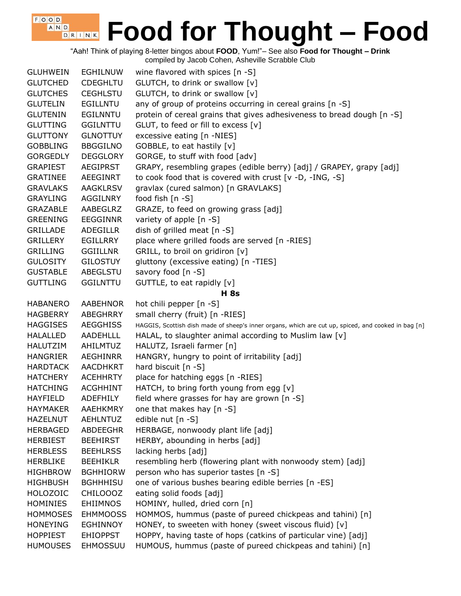"Aah! Think of playing 8-letter bingos about **FOOD**, Yum!"– See also **Food for Thought – Drink** compiled by Jacob Cohen, Asheville Scrabble Club

 $F$ , O, O, D, A N D

| <b>GLUHWEIN</b> | <b>EGHILNUW</b> | wine flavored with spices $[n - S]$                                                                 |
|-----------------|-----------------|-----------------------------------------------------------------------------------------------------|
| <b>GLUTCHED</b> | <b>CDEGHLTU</b> | GLUTCH, to drink or swallow [v]                                                                     |
| <b>GLUTCHES</b> | <b>CEGHLSTU</b> | GLUTCH, to drink or swallow [v]                                                                     |
| <b>GLUTELIN</b> | <b>EGILLNTU</b> | any of group of proteins occurring in cereal grains [n -S]                                          |
| <b>GLUTENIN</b> | <b>EGILNNTU</b> | protein of cereal grains that gives adhesiveness to bread dough [n -S]                              |
| <b>GLUTTING</b> | <b>GGILNTTU</b> | GLUT, to feed or fill to excess [v]                                                                 |
| <b>GLUTTONY</b> | <b>GLNOTTUY</b> | excessive eating [n -NIES]                                                                          |
| <b>GOBBLING</b> | <b>BBGGILNO</b> | GOBBLE, to eat hastily [v]                                                                          |
| <b>GORGEDLY</b> | <b>DEGGLORY</b> | GORGE, to stuff with food [adv]                                                                     |
| <b>GRAPIEST</b> | <b>AEGIPRST</b> | GRAPY, resembling grapes (edible berry) [adj] / GRAPEY, grapy [adj]                                 |
| <b>GRATINEE</b> | <b>AEEGINRT</b> | to cook food that is covered with crust [v -D, -ING, -S]                                            |
| <b>GRAVLAKS</b> | <b>AAGKLRSV</b> | gravlax (cured salmon) [n GRAVLAKS]                                                                 |
| <b>GRAYLING</b> | AGGILNRY        | food fish $[n -S]$                                                                                  |
| <b>GRAZABLE</b> | AABEGLRZ        | GRAZE, to feed on growing grass [adj]                                                               |
| <b>GREENING</b> | <b>EEGGINNR</b> | variety of apple [n -S]                                                                             |
| <b>GRILLADE</b> | <b>ADEGILLR</b> | dish of grilled meat [n -S]                                                                         |
| <b>GRILLERY</b> | <b>EGILLRRY</b> | place where grilled foods are served [n -RIES]                                                      |
| <b>GRILLING</b> | <b>GGIILLNR</b> | GRILL, to broil on gridiron [v]                                                                     |
| <b>GULOSITY</b> | <b>GILOSTUY</b> | gluttony (excessive eating) [n -TIES]                                                               |
| <b>GUSTABLE</b> | ABEGLSTU        | savory food [n -S]                                                                                  |
| <b>GUTTLING</b> | <b>GGILNTTU</b> | GUTTLE, to eat rapidly [v]                                                                          |
|                 |                 | <b>H</b> 8s                                                                                         |
| <b>HABANERO</b> | <b>AABEHNOR</b> | hot chili pepper [n -S]                                                                             |
| <b>HAGBERRY</b> | ABEGHRRY        | small cherry (fruit) [n -RIES]                                                                      |
| <b>HAGGISES</b> | <b>AEGGHISS</b> | HAGGIS, Scottish dish made of sheep's inner organs, which are cut up, spiced, and cooked in bag [n] |
| <b>HALALLED</b> | AADEHLLL        | HALAL, to slaughter animal according to Muslim law [v]                                              |
| HALUTZIM        | AHILMTUZ        | HALUTZ, Israeli farmer [n]                                                                          |
| <b>HANGRIER</b> | <b>AEGHINRR</b> | HANGRY, hungry to point of irritability [adj]                                                       |
| <b>HARDTACK</b> | <b>AACDHKRT</b> | hard biscuit [n -S]                                                                                 |
| <b>HATCHERY</b> | <b>ACEHHRTY</b> | place for hatching eggs [n -RIES]                                                                   |
| <b>HATCHING</b> | <b>ACGHHINT</b> | HATCH, to bring forth young from egg [v]                                                            |
| <b>HAYFIELD</b> | <b>ADEFHILY</b> | field where grasses for hay are grown $[n -S]$                                                      |
| <b>HAYMAKER</b> | AAEHKMRY        | one that makes hay [n -S]                                                                           |
| <b>HAZELNUT</b> | <b>AEHLNTUZ</b> | edible nut [n -S]                                                                                   |
| <b>HERBAGED</b> | ABDEEGHR        | HERBAGE, nonwoody plant life [adj]                                                                  |
| <b>HERBIEST</b> | <b>BEEHIRST</b> | HERBY, abounding in herbs [adj]                                                                     |
| <b>HERBLESS</b> | <b>BEEHLRSS</b> | lacking herbs [adj]                                                                                 |
| <b>HERBLIKE</b> | <b>BEEHIKLR</b> | resembling herb (flowering plant with nonwoody stem) [adj]                                          |
| <b>HIGHBROW</b> | <b>BGHHIORW</b> | person who has superior tastes [n -S]                                                               |
| <b>HIGHBUSH</b> | <b>BGHHHISU</b> | one of various bushes bearing edible berries [n -ES]                                                |
| <b>HOLOZOIC</b> | <b>CHILOOOZ</b> | eating solid foods [adj]                                                                            |
| <b>HOMINIES</b> | <b>EHIIMNOS</b> | HOMINY, hulled, dried corn [n]                                                                      |
| <b>HOMMOSES</b> | <b>EHMMOOSS</b> | HOMMOS, hummus (paste of pureed chickpeas and tahini) [n]                                           |
| <b>HONEYING</b> | EGHINNOY        | HONEY, to sweeten with honey (sweet viscous fluid) [v]                                              |
| <b>HOPPIEST</b> | <b>EHIOPPST</b> | HOPPY, having taste of hops (catkins of particular vine) [adj]                                      |
| <b>HUMOUSES</b> | <b>EHMOSSUU</b> | HUMOUS, hummus (paste of pureed chickpeas and tahini) [n]                                           |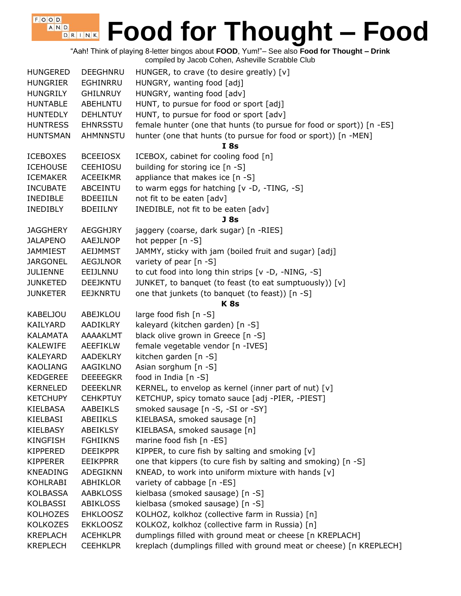"Aah! Think of playing 8-letter bingos about **FOOD**, Yum!"– See also **Food for Thought – Drink** compiled by Jacob Cohen, Asheville Scrabble Club

 $F$ , O, O, D, A N D

| <b>HUNGERED</b> | DEEGHNRU        | HUNGER, to crave (to desire greatly) $[v]$                           |
|-----------------|-----------------|----------------------------------------------------------------------|
| <b>HUNGRIER</b> | EGHINRRU        | HUNGRY, wanting food [adj]                                           |
| <b>HUNGRILY</b> | <b>GHILNRUY</b> | HUNGRY, wanting food [adv]                                           |
| <b>HUNTABLE</b> | ABEHLNTU        | HUNT, to pursue for food or sport [adj]                              |
| <b>HUNTEDLY</b> | <b>DEHLNTUY</b> | HUNT, to pursue for food or sport [adv]                              |
| <b>HUNTRESS</b> | <b>EHNRSSTU</b> | female hunter (one that hunts (to pursue for food or sport)) [n -ES] |
| <b>HUNTSMAN</b> | <b>AHMNNSTU</b> | hunter (one that hunts (to pursue for food or sport)) [n -MEN]       |
|                 |                 | <b>I</b> 8s                                                          |
| <b>ICEBOXES</b> | <b>BCEEIOSX</b> | ICEBOX, cabinet for cooling food [n]                                 |
| <b>ICEHOUSE</b> | <b>CEEHIOSU</b> | building for storing ice [n -S]                                      |
| <b>ICEMAKER</b> | <b>ACEEIKMR</b> | appliance that makes ice [n -S]                                      |
| <b>INCUBATE</b> | ABCEINTU        | to warm eggs for hatching [v -D, -TING, -S]                          |
| <b>INEDIBLE</b> | <b>BDEEIILN</b> | not fit to be eaten [adv]                                            |
| <b>INEDIBLY</b> | <b>BDEIILNY</b> | INEDIBLE, not fit to be eaten [adv]                                  |
|                 |                 | J <sub>8s</sub>                                                      |
| <b>JAGGHERY</b> | <b>AEGGHJRY</b> | jaggery (coarse, dark sugar) [n -RIES]                               |
| <b>JALAPENO</b> | AAEJLNOP        | hot pepper [n -S]                                                    |
| <b>JAMMIEST</b> | <b>AEIJMMST</b> | JAMMY, sticky with jam (boiled fruit and sugar) [adj]                |
| <b>JARGONEL</b> | <b>AEGJLNOR</b> | variety of pear [n -S]                                               |
| <b>JULIENNE</b> | EEIJLNNU        | to cut food into long thin strips [v -D, -NING, -S]                  |
| <b>JUNKETED</b> | <b>DEEJKNTU</b> | JUNKET, to banquet (to feast (to eat sumptuously)) [v]               |
| <b>JUNKETER</b> | <b>EEJKNRTU</b> | one that junkets (to banquet (to feast)) [n -S]                      |
|                 |                 | K <sub>8s</sub>                                                      |
| <b>KABELJOU</b> | ABEJKLOU        | large food fish [n -S]                                               |
| KAILYARD        | <b>AADIKLRY</b> | kaleyard (kitchen garden) [n -S]                                     |
| <b>KALAMATA</b> | AAAAKLMT        | black olive grown in Greece [n -S]                                   |
| <b>KALEWIFE</b> | <b>AEEFIKLW</b> | female vegetable vendor [n -IVES]                                    |
| KALEYARD        | <b>AADEKLRY</b> | kitchen garden [n -S]                                                |
| <b>KAOLIANG</b> | AAGIKLNO        | Asian sorghum [n -S]                                                 |
| KEDGEREE        | <b>DEEEEGKR</b> | food in India [n -S]                                                 |
| <b>KERNELED</b> | <b>DEEEKLNR</b> | KERNEL, to envelop as kernel (inner part of nut) [v]                 |
| <b>KETCHUPY</b> | <b>CEHKPTUY</b> | KETCHUP, spicy tomato sauce [adj -PIER, -PIEST]                      |
| KIELBASA        | AABEIKLS        | smoked sausage [n -S, -SI or -SY]                                    |
| KIELBASI        | <b>ABEIIKLS</b> | KIELBASA, smoked sausage [n]                                         |
| KIELBASY        | ABEIKLSY        | KIELBASA, smoked sausage [n]                                         |
| <b>KINGFISH</b> | <b>FGHIIKNS</b> | marine food fish [n -ES]                                             |
| KIPPERED        | <b>DEEIKPPR</b> | KIPPER, to cure fish by salting and smoking $[v]$                    |
| <b>KIPPERER</b> | <b>EEIKPPRR</b> | one that kippers (to cure fish by salting and smoking) [n -S]        |
| <b>KNEADING</b> | ADEGIKNN        | KNEAD, to work into uniform mixture with hands [v]                   |
| KOHLRABI        | ABHIKLOR        | variety of cabbage [n -ES]                                           |
| KOLBASSA        | <b>AABKLOSS</b> | kielbasa (smoked sausage) [n -S]                                     |
| KOLBASSI        | ABIKLOSS        | kielbasa (smoked sausage) [n -S]                                     |
| <b>KOLHOZES</b> | <b>EHKLOOSZ</b> | KOLHOZ, kolkhoz (collective farm in Russia) [n]                      |
| <b>KOLKOZES</b> | <b>EKKLOOSZ</b> | KOLKOZ, kolkhoz (collective farm in Russia) [n]                      |
| <b>KREPLACH</b> | <b>ACEHKLPR</b> | dumplings filled with ground meat or cheese [n KREPLACH]             |
| <b>KREPLECH</b> | <b>CEEHKLPR</b> | kreplach (dumplings filled with ground meat or cheese) [n KREPLECH]  |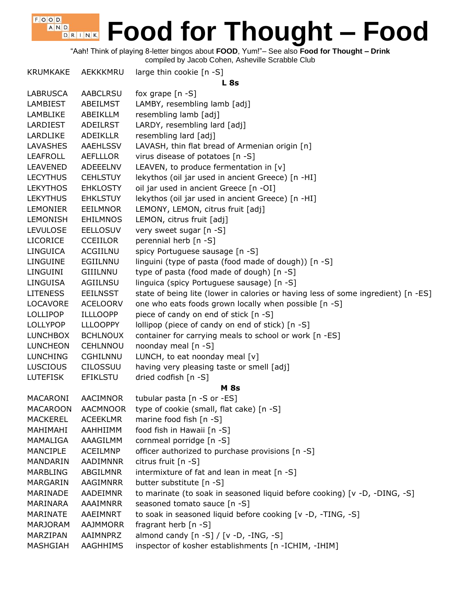"Aah! Think of playing 8-letter bingos about **FOOD**, Yum!"– See also **Food for Thought – Drink**

compiled by Jacob Cohen, Asheville Scrabble Club

 $F$ , O, O, D, A N D

| <b>KRUMKAKE</b> | AEKKKMRU        | large thin cookie [n -S]<br>L8s                                                   |
|-----------------|-----------------|-----------------------------------------------------------------------------------|
| <b>LABRUSCA</b> | <b>AABCLRSU</b> | fox grape $[n -S]$                                                                |
| LAMBIEST        | ABEILMST        | LAMBY, resembling lamb [adj]                                                      |
| LAMBLIKE        | ABEIKLLM        | resembling lamb [adj]                                                             |
| LARDIEST        | <b>ADEILRST</b> | LARDY, resembling lard [adj]                                                      |
| LARDLIKE        | <b>ADEIKLLR</b> | resembling lard [adj]                                                             |
| <b>LAVASHES</b> | <b>AAEHLSSV</b> | LAVASH, thin flat bread of Armenian origin [n]                                    |
| <b>LEAFROLL</b> | <b>AEFLLLOR</b> | virus disease of potatoes [n -S]                                                  |
| <b>LEAVENED</b> | ADEEELNV        | LEAVEN, to produce fermentation in [v]                                            |
| <b>LECYTHUS</b> | <b>CEHLSTUY</b> | lekythos (oil jar used in ancient Greece) [n -HI]                                 |
| <b>LEKYTHOS</b> | <b>EHKLOSTY</b> | oil jar used in ancient Greece [n -OI]                                            |
| <b>LEKYTHUS</b> | <b>EHKLSTUY</b> | lekythos (oil jar used in ancient Greece) [n -HI]                                 |
| <b>LEMONIER</b> | <b>EEILMNOR</b> | LEMONY, LEMON, citrus fruit [adj]                                                 |
| <b>LEMONISH</b> | <b>EHILMNOS</b> | LEMON, citrus fruit [adj]                                                         |
| <b>LEVULOSE</b> | <b>EELLOSUV</b> | very sweet sugar [n -S]                                                           |
| <b>LICORICE</b> | <b>CCEIILOR</b> | perennial herb [n -S]                                                             |
| <b>LINGUICA</b> | <b>ACGIILNU</b> | spicy Portuguese sausage [n -S]                                                   |
| LINGUINE        | EGIILNNU        | linguini (type of pasta (food made of dough)) [n -S]                              |
| LINGUINI        | GIIILNNU        | type of pasta (food made of dough) [n -S]                                         |
| <b>LINGUISA</b> | AGIILNSU        | linguica (spicy Portuguese sausage) [n -S]                                        |
| <b>LITENESS</b> | <b>EEILNSST</b> | state of being lite (lower in calories or having less of some ingredient) [n -ES] |
| <b>LOCAVORE</b> | <b>ACELOORV</b> | one who eats foods grown locally when possible [n -S]                             |
| <b>LOLLIPOP</b> | <b>ILLLOOPP</b> | piece of candy on end of stick [n -S]                                             |
| <b>LOLLYPOP</b> | <b>LLLOOPPY</b> | lollipop (piece of candy on end of stick) [n -S]                                  |
| <b>LUNCHBOX</b> | <b>BCHLNOUX</b> | container for carrying meals to school or work [n -ES]                            |
| <b>LUNCHEON</b> | <b>CEHLNNOU</b> | noonday meal [n -S]                                                               |
| <b>LUNCHING</b> | <b>CGHILNNU</b> | LUNCH, to eat noonday meal $[v]$                                                  |
| <b>LUSCIOUS</b> | <b>CILOSSUU</b> | having very pleasing taste or smell [adj]                                         |
| <b>LUTEFISK</b> | <b>EFIKLSTU</b> | dried codfish [n -S]                                                              |
|                 |                 | <b>M</b> 8s                                                                       |
| MACARONI        | <b>AACIMNOR</b> | tubular pasta [n -S or -ES]                                                       |
| <b>MACAROON</b> | <b>AACMNOOR</b> | type of cookie (small, flat cake) [n -S]                                          |
| <b>MACKEREL</b> | <b>ACEEKLMR</b> | marine food fish [n -S]                                                           |
| MAHIMAHI        | AAHHIIMM        | food fish in Hawaii [n -S]                                                        |
| MAMALIGA        | AAAGILMM        | cornmeal porridge [n -S]                                                          |
| <b>MANCIPLE</b> | <b>ACEILMNP</b> | officer authorized to purchase provisions [n -S]                                  |
| <b>MANDARIN</b> | AADIMNNR        | citrus fruit [n -S]                                                               |
| <b>MARBLING</b> | ABGILMNR        | intermixture of fat and lean in meat [n -S]                                       |
| MARGARIN        | AAGIMNRR        | butter substitute [n -S]                                                          |
| MARINADE        | AADEIMNR        | to marinate (to soak in seasoned liquid before cooking) [v -D, -DING, -S]         |
| MARINARA        | AAAIMNRR        | seasoned tomato sauce [n -S]                                                      |
| MARINATE        | AAEIMNRT        | to soak in seasoned liquid before cooking [v -D, -TING, -S]                       |
| <b>MARJORAM</b> | <b>AAJMMORR</b> | fragrant herb [n -S]                                                              |
| MARZIPAN        | AAIMNPRZ        | almond candy $[n-S] / [v -D, -ING, -S]$                                           |
| MASHGIAH        | AAGHHIMS        | inspector of kosher establishments [n -ICHIM, -IHIM]                              |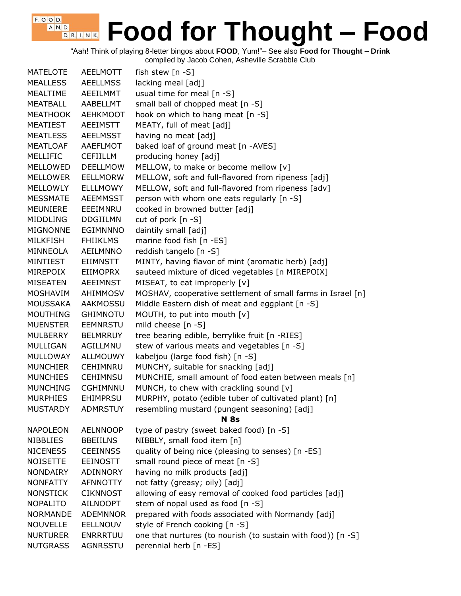#### $F$ , O, O, D, **Food for Thought – Food** A N D D R I N K

"Aah! Think of playing 8-letter bingos about **FOOD**, Yum!"– See also **Food for Thought – Drink**

compiled by Jacob Cohen, Asheville Scrabble Club

| <b>MATELOTE</b> | <b>AEELMOTT</b> | fish stew [n -S]                                             |
|-----------------|-----------------|--------------------------------------------------------------|
| <b>MEALLESS</b> | <b>AEELLMSS</b> | lacking meal [adj]                                           |
| MEALTIME        | <b>AEEILMMT</b> | usual time for meal [n -S]                                   |
| MEATBALL        | AABELLMT        | small ball of chopped meat [n -S]                            |
| <b>MEATHOOK</b> | <b>AEHKMOOT</b> | hook on which to hang meat [n -S]                            |
| <b>MEATIEST</b> | <b>AEEIMSTT</b> | MEATY, full of meat [adj]                                    |
| <b>MEATLESS</b> | <b>AEELMSST</b> | having no meat [adj]                                         |
| <b>MEATLOAF</b> | <b>AAEFLMOT</b> | baked loaf of ground meat [n -AVES]                          |
| <b>MELLIFIC</b> | <b>CEFIILLM</b> | producing honey [adj]                                        |
| <b>MELLOWED</b> | <b>DEELLMOW</b> | MELLOW, to make or become mellow [v]                         |
| <b>MELLOWER</b> | <b>EELLMORW</b> | MELLOW, soft and full-flavored from ripeness [adj]           |
| <b>MELLOWLY</b> | <b>ELLLMOWY</b> | MELLOW, soft and full-flavored from ripeness [adv]           |
| <b>MESSMATE</b> | <b>AEEMMSST</b> | person with whom one eats regularly [n -S]                   |
| MEUNIERE        | EEEIMNRU        | cooked in browned butter [adj]                               |
| <b>MIDDLING</b> | <b>DDGIILMN</b> | cut of pork $[n -S]$                                         |
| <b>MIGNONNE</b> | <b>EGIMNNNO</b> | daintily small [adj]                                         |
| <b>MILKFISH</b> | <b>FHIIKLMS</b> | marine food fish [n -ES]                                     |
| MINNEOLA        | <b>AEILMNNO</b> | reddish tangelo [n -S]                                       |
| MINTIEST        | EIIMNSTT        | MINTY, having flavor of mint (aromatic herb) [adj]           |
| MIREPOIX        | <b>EIIMOPRX</b> | sauteed mixture of diced vegetables [n MIREPOIX]             |
| <b>MISEATEN</b> | <b>AEEIMNST</b> | MISEAT, to eat improperly [v]                                |
| MOSHAVIM        | AHIMMOSV        | MOSHAV, cooperative settlement of small farms in Israel [n]  |
| <b>MOUSSAKA</b> | <b>AAKMOSSU</b> | Middle Eastern dish of meat and eggplant [n -S]              |
| <b>MOUTHING</b> | <b>GHIMNOTU</b> | MOUTH, to put into mouth [v]                                 |
| <b>MUENSTER</b> | <b>EEMNRSTU</b> | mild cheese [n -S]                                           |
| <b>MULBERRY</b> | <b>BELMRRUY</b> | tree bearing edible, berrylike fruit [n -RIES]               |
| MULLIGAN        | AGILLMNU        | stew of various meats and vegetables [n -S]                  |
| <b>MULLOWAY</b> | <b>ALLMOUWY</b> | kabeljou (large food fish) [n -S]                            |
| <b>MUNCHIER</b> | CEHIMNRU        | MUNCHY, suitable for snacking [adj]                          |
| <b>MUNCHIES</b> | <b>CEHIMNSU</b> | MUNCHIE, small amount of food eaten between meals [n]        |
| <b>MUNCHING</b> | <b>CGHIMNNU</b> | MUNCH, to chew with crackling sound [v]                      |
| <b>MURPHIES</b> | <b>EHIMPRSU</b> | MURPHY, potato (edible tuber of cultivated plant) [n]        |
| MUSTARDY        | ADMRSTUY        | resembling mustard (pungent seasoning) [adj]                 |
|                 |                 | <b>N</b> 8s                                                  |
| <b>NAPOLEON</b> | AELNNOOP        | type of pastry (sweet baked food) [n -S]                     |
| <b>NIBBLIES</b> | <b>BBEIILNS</b> | NIBBLY, small food item [n]                                  |
| <b>NICENESS</b> | <b>CEEINNSS</b> | quality of being nice (pleasing to senses) [n -ES]           |
| <b>NOISETTE</b> | <b>EEINOSTT</b> | small round piece of meat [n -S]                             |
| <b>NONDAIRY</b> | ADINNORY        | having no milk products [adj]                                |
| <b>NONFATTY</b> | <b>AFNNOTTY</b> | not fatty (greasy; oily) [adj]                               |
| <b>NONSTICK</b> | <b>CIKNNOST</b> | allowing of easy removal of cooked food particles [adj]      |
| <b>NOPALITO</b> | <b>AILNOOPT</b> | stem of nopal used as food [n -S]                            |
| <b>NORMANDE</b> | <b>ADEMNNOR</b> | prepared with foods associated with Normandy [adj]           |
| <b>NOUVELLE</b> | <b>EELLNOUV</b> | style of French cooking [n -S]                               |
| <b>NURTURER</b> | <b>ENRRRTUU</b> | one that nurtures (to nourish (to sustain with food)) [n -S] |
| <b>NUTGRASS</b> | <b>AGNRSSTU</b> | perennial herb [n -ES]                                       |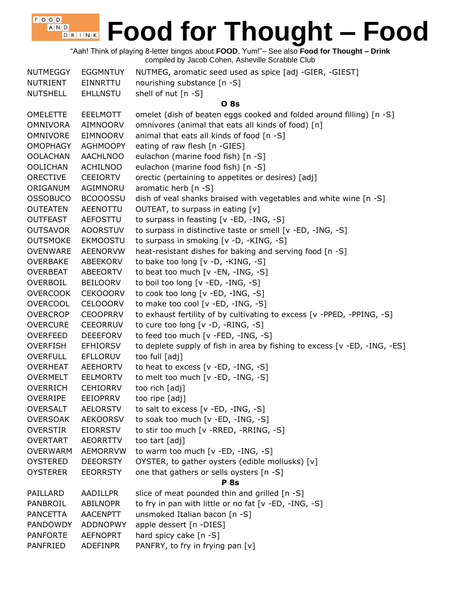"Aah! Think of playing 8-letter bingos about **FOOD**, Yum!"– See also **Food for Thought – Drink** compiled by Jacob Cohen, Asheville Scrabble Club

 $F$ , O, O, D, A N D

| <b>NUTMEGGY</b> | <b>EGGMNTUY</b> | NUTMEG, aromatic seed used as spice [adj -GIER, -GIEST]                   |
|-----------------|-----------------|---------------------------------------------------------------------------|
| NUTRIENT        | EINNRTTU        | nourishing substance [n -S]                                               |
| <b>NUTSHELL</b> | <b>EHLLNSTU</b> | shell of nut [n -S]                                                       |
|                 |                 | <b>O</b> 8s                                                               |
| <b>OMELETTE</b> | <b>EEELMOTT</b> | omelet (dish of beaten eggs cooked and folded around filling) [n -S]      |
| <b>OMNIVORA</b> | <b>AIMNOORV</b> | omnivores (animal that eats all kinds of food) [n]                        |
| OMNIVORE        | <b>EIMNOORV</b> | animal that eats all kinds of food [n -S]                                 |
| <b>OMOPHAGY</b> | <b>AGHMOOPY</b> | eating of raw flesh [n -GIES]                                             |
| <b>OOLACHAN</b> | <b>AACHLNOO</b> | eulachon (marine food fish) [n -S]                                        |
| <b>OOLICHAN</b> | <b>ACHILNOO</b> | eulachon (marine food fish) [n -S]                                        |
| <b>ORECTIVE</b> | <b>CEEIORTV</b> | orectic (pertaining to appetites or desires) [adj]                        |
| ORIGANUM        | AGIMNORU        | aromatic herb $[n - S]$                                                   |
| <b>OSSOBUCO</b> | <b>BCOOOSSU</b> | dish of veal shanks braised with vegetables and white wine [n -S]         |
| <b>OUTEATEN</b> | AEENOTTU        | OUTEAT, to surpass in eating [v]                                          |
| <b>OUTFEAST</b> | AEFOSTTU        | to surpass in feasting [v -ED, -ING, -S]                                  |
| <b>OUTSAVOR</b> | <b>AOORSTUV</b> | to surpass in distinctive taste or smell [v -ED, -ING, -S]                |
| <b>OUTSMOKE</b> | <b>EKMOOSTU</b> | to surpass in smoking [v -D, -KING, -S]                                   |
| <b>OVENWARE</b> | <b>AEENORVW</b> | heat-resistant dishes for baking and serving food [n -S]                  |
| <b>OVERBAKE</b> | ABEEKORV        | to bake too long [v -D, -KING, -S]                                        |
| <b>OVERBEAT</b> | <b>ABEEORTV</b> | to beat too much [v -EN, -ING, -S]                                        |
| OVERBOIL        | <b>BEILOORV</b> | to boil too long [v -ED, -ING, -S]                                        |
| <b>OVERCOOK</b> | <b>CEKOOORV</b> | to cook too long [v -ED, -ING, -S]                                        |
| <b>OVERCOOL</b> | <b>CELOOORV</b> | to make too cool [v -ED, -ING, -S]                                        |
| <b>OVERCROP</b> | <b>CEOOPRRV</b> | to exhaust fertility of by cultivating to excess [v -PPED, -PPING, -S]    |
| <b>OVERCURE</b> | <b>CEEORRUV</b> | to cure too long [v -D, -RING, -S]                                        |
| OVERFEED        | <b>DEEEFORV</b> | to feed too much [v -FED, -ING, -S]                                       |
| <b>OVERFISH</b> | EFHIORSV        | to deplete supply of fish in area by fishing to excess [v -ED, -ING, -ES] |
| <b>OVERFULL</b> | <b>EFLLORUV</b> | too full [adj]                                                            |
| <b>OVERHEAT</b> | <b>AEEHORTV</b> | to heat to excess $[v - ED, -ING, -S]$                                    |
| OVERMELT        | <b>EELMORTV</b> | to melt too much [v -ED, -ING, -S]                                        |
| OVERRICH        | <b>CEHIORRV</b> | too rich [adj]                                                            |
| <b>OVERRIPE</b> | <b>EEIOPRRV</b> | too ripe [adj]                                                            |
| <b>OVERSALT</b> | <b>AELORSTV</b> | to salt to excess $[v - ED, -ING, -S]$                                    |
| <b>OVERSOAK</b> | <b>AEKOORSV</b> | to soak too much [v -ED, -ING, -S]                                        |
| <b>OVERSTIR</b> | <b>EIORRSTV</b> | to stir too much [v -RRED, -RRING, -S]                                    |
| <b>OVERTART</b> | <b>AEORRTTV</b> | too tart [adj]                                                            |
| <b>OVERWARM</b> | <b>AEMORRVW</b> | to warm too much $[v - ED, -ING, -S]$                                     |
| <b>OYSTERED</b> | <b>DEEORSTY</b> | OYSTER, to gather oysters (edible mollusks) [v]                           |
| <b>OYSTERER</b> | <b>EEORRSTY</b> | one that gathers or sells oysters [n -S]                                  |
|                 |                 | <b>P</b> 8s                                                               |
| PAILLARD        | AADILLPR        | slice of meat pounded thin and grilled [n -S]                             |
| PANBROIL        | ABILNOPR        | to fry in pan with little or no fat [v -ED, -ING, -S]                     |
|                 |                 |                                                                           |
| <b>PANCETTA</b> | <b>AACENPTT</b> | unsmoked Italian bacon [n -S]                                             |
| PANDOWDY        | <b>ADDNOPWY</b> | apple dessert [n -DIES]                                                   |
| <b>PANFORTE</b> | <b>AEFNOPRT</b> | hard spicy cake [n -S]                                                    |
| PANFRIED        | ADEFINPR        | PANFRY, to fry in frying pan [v]                                          |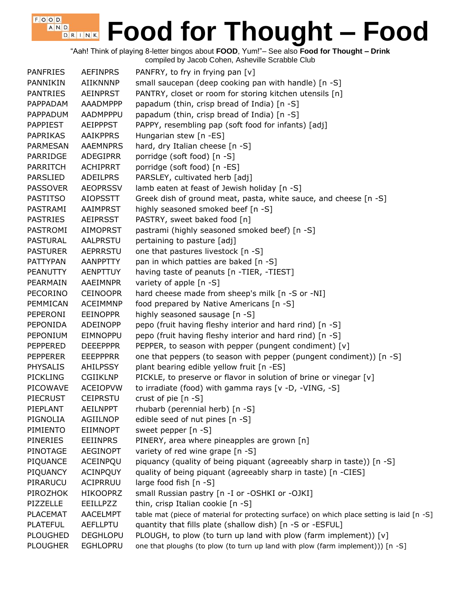"Aah! Think of playing 8-letter bingos about **FOOD**, Yum!"– See also **Food for Thought – Drink** compiled by Jacob Cohen, Asheville Scrabble Club

 $F$ , O, O, D, A N D

| <b>PANFRIES</b> | <b>AEFINPRS</b> | PANFRY, to fry in frying pan [v]                                                           |
|-----------------|-----------------|--------------------------------------------------------------------------------------------|
| PANNIKIN        | AIIKNNNP        | small saucepan (deep cooking pan with handle) [n -S]                                       |
| <b>PANTRIES</b> | <b>AEINPRST</b> | PANTRY, closet or room for storing kitchen utensils [n]                                    |
| PAPPADAM        | AAADMPPP        | papadum (thin, crisp bread of India) [n -S]                                                |
| PAPPADUM        | AADMPPPU        | papadum (thin, crisp bread of India) [n -S]                                                |
| <b>PAPPIEST</b> | <b>AEIPPPST</b> | PAPPY, resembling pap (soft food for infants) [adj]                                        |
| PAPRIKAS        | <b>AAIKPPRS</b> | Hungarian stew [n -ES]                                                                     |
| PARMESAN        | <b>AAEMNPRS</b> | hard, dry Italian cheese [n -S]                                                            |
| PARRIDGE        | ADEGIPRR        | porridge (soft food) [n -S]                                                                |
| <b>PARRITCH</b> | <b>ACHIPRRT</b> | porridge (soft food) [n -ES]                                                               |
| <b>PARSLIED</b> | <b>ADEILPRS</b> | PARSLEY, cultivated herb [adj]                                                             |
| <b>PASSOVER</b> | <b>AEOPRSSV</b> | lamb eaten at feast of Jewish holiday [n -S]                                               |
| <b>PASTITSO</b> | <b>AIOPSSTT</b> | Greek dish of ground meat, pasta, white sauce, and cheese [n -S]                           |
| PASTRAMI        | AAIMPRST        | highly seasoned smoked beef [n -S]                                                         |
| <b>PASTRIES</b> | <b>AEIPRSST</b> | PASTRY, sweet baked food [n]                                                               |
| PASTROMI        | <b>AIMOPRST</b> | pastrami (highly seasoned smoked beef) [n -S]                                              |
| PASTURAL        | AALPRSTU        | pertaining to pasture [adj]                                                                |
| <b>PASTURER</b> | <b>AEPRRSTU</b> | one that pastures livestock [n -S]                                                         |
| <b>PATTYPAN</b> | AANPPTTY        | pan in which patties are baked [n -S]                                                      |
| <b>PEANUTTY</b> | AENPTTUY        | having taste of peanuts [n -TIER, -TIEST]                                                  |
| PEARMAIN        | AAEIMNPR        | variety of apple [n -S]                                                                    |
| PECORINO        | <b>CEINOOPR</b> | hard cheese made from sheep's milk [n -S or -NI]                                           |
| PEMMICAN        | <b>ACEIMMNP</b> | food prepared by Native Americans [n -S]                                                   |
| PEPERONI        | <b>EEINOPPR</b> | highly seasoned sausage [n -S]                                                             |
| PEPONIDA        | ADEINOPP        | pepo (fruit having fleshy interior and hard rind) [n -S]                                   |
| PEPONIUM        | <b>EIMNOPPU</b> | pepo (fruit having fleshy interior and hard rind) [n -S]                                   |
| PEPPERED        | <b>DEEEPPPR</b> | PEPPER, to season with pepper (pungent condiment) [v]                                      |
| <b>PEPPERER</b> | <b>EEEPPPRR</b> | one that peppers (to season with pepper (pungent condiment)) [n -S]                        |
| <b>PHYSALIS</b> | AHILPSSY        | plant bearing edible yellow fruit [n -ES]                                                  |
| <b>PICKLING</b> | <b>CGIIKLNP</b> | PICKLE, to preserve or flavor in solution of brine or vinegar [v]                          |
| PICOWAVE        | <b>ACEIOPVW</b> | to irradiate (food) with gamma rays [v -D, -VING, -S]                                      |
| <b>PIECRUST</b> | <b>CEIPRSTU</b> | crust of pie [n -S]                                                                        |
| PIEPLANT        | <b>AEILNPPT</b> | rhubarb (perennial herb) [n -S]                                                            |
| PIGNOLIA        | <b>AGIILNOP</b> | edible seed of nut pines [n -S]                                                            |
| PIMIENTO        | <b>EIIMNOPT</b> | sweet pepper [n -S]                                                                        |
| PINERIES        | <b>EEIINPRS</b> | PINERY, area where pineapples are grown [n]                                                |
| PINOTAGE        | <b>AEGINOPT</b> | variety of red wine grape [n -S]                                                           |
| PIQUANCE        | ACEINPQU        | piquancy (quality of being piquant (agreeably sharp in taste)) [n -S]                      |
| PIQUANCY        | <b>ACINPQUY</b> | quality of being piquant (agreeably sharp in taste) [n -CIES]                              |
| PIRARUCU        | ACIPRRUU        | large food fish [n -S]                                                                     |
| PIROZHOK        | <b>HIKOOPRZ</b> | small Russian pastry [n -I or -OSHKI or -OJKI]                                             |
| PIZZELLE        | <b>EEILLPZZ</b> | thin, crisp Italian cookie [n -S]                                                          |
| <b>PLACEMAT</b> | <b>AACELMPT</b> | table mat (piece of material for protecting surface) on which place setting is laid [n -S] |
| <b>PLATEFUL</b> | <b>AEFLLPTU</b> | quantity that fills plate (shallow dish) [n -S or -ESFUL]                                  |
| <b>PLOUGHED</b> | <b>DEGHLOPU</b> | PLOUGH, to plow (to turn up land with plow (farm implement)) [v]                           |
| <b>PLOUGHER</b> | <b>EGHLOPRU</b> | one that ploughs (to plow (to turn up land with plow (farm implement))) [n -S]             |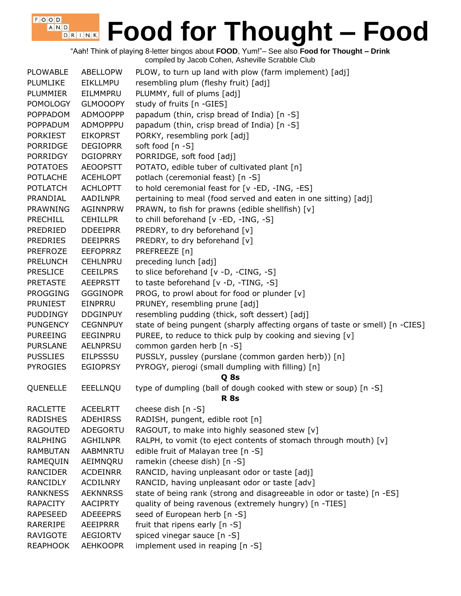"Aah! Think of playing 8-letter bingos about **FOOD**, Yum!"– See also **Food for Thought – Drink** compiled by Jacob Cohen, Asheville Scrabble Club

| <b>PLOWABLE</b> | ABELLOPW        | PLOW, to turn up land with plow (farm implement) [adj]                        |
|-----------------|-----------------|-------------------------------------------------------------------------------|
| <b>PLUMLIKE</b> | <b>EIKLLMPU</b> | resembling plum (fleshy fruit) [adj]                                          |
| PLUMMIER        | EILMMPRU        | PLUMMY, full of plums [adj]                                                   |
| <b>POMOLOGY</b> | <b>GLMOOOPY</b> | study of fruits [n -GIES]                                                     |
| <b>POPPADOM</b> | <b>ADMOOPPP</b> | papadum (thin, crisp bread of India) [n -S]                                   |
| <b>POPPADUM</b> | ADMOPPPU        | papadum (thin, crisp bread of India) [n -S]                                   |
| <b>PORKIEST</b> | <b>EIKOPRST</b> | PORKY, resembling pork [adj]                                                  |
| <b>PORRIDGE</b> | <b>DEGIOPRR</b> | soft food [n -S]                                                              |
| <b>PORRIDGY</b> | <b>DGIOPRRY</b> | PORRIDGE, soft food [adj]                                                     |
| <b>POTATOES</b> | <b>AEOOPSTT</b> | POTATO, edible tuber of cultivated plant [n]                                  |
| <b>POTLACHE</b> | <b>ACEHLOPT</b> | potlach (ceremonial feast) [n -S]                                             |
| <b>POTLATCH</b> | <b>ACHLOPTT</b> | to hold ceremonial feast for [v -ED, -ING, -ES]                               |
| PRANDIAL        | AADILNPR        | pertaining to meal (food served and eaten in one sitting) [adj]               |
| PRAWNING        | AGINNPRW        | PRAWN, to fish for prawns (edible shellfish) [v]                              |
| <b>PRECHILL</b> | <b>CEHILLPR</b> | to chill beforehand [v -ED, -ING, -S]                                         |
| PREDRIED        | <b>DDEEIPRR</b> | PREDRY, to dry beforehand [v]                                                 |
| <b>PREDRIES</b> | <b>DEEIPRRS</b> | PREDRY, to dry beforehand [v]                                                 |
| <b>PREFROZE</b> | <b>EEFOPRRZ</b> | PREFREEZE [n]                                                                 |
| <b>PRELUNCH</b> | <b>CEHLNPRU</b> | preceding lunch [adj]                                                         |
| <b>PRESLICE</b> | <b>CEEILPRS</b> | to slice beforehand [v -D, -CING, -S]                                         |
| <b>PRETASTE</b> | <b>AEEPRSTT</b> | to taste beforehand [v -D, -TING, -S]                                         |
| <b>PROGGING</b> | <b>GGGINOPR</b> | PROG, to prowl about for food or plunder [v]                                  |
| <b>PRUNIEST</b> | EINPRRU         | PRUNEY, resembling prune [adj]                                                |
| <b>PUDDINGY</b> | <b>DDGINPUY</b> | resembling pudding (thick, soft dessert) [adj]                                |
| <b>PUNGENCY</b> | <b>CEGNNPUY</b> | state of being pungent (sharply affecting organs of taste or smell) [n -CIES] |
| <b>PUREEING</b> | EEGINPRU        | PUREE, to reduce to thick pulp by cooking and sieving [v]                     |
| <b>PURSLANE</b> | <b>AELNPRSU</b> | common garden herb [n -S]                                                     |
| <b>PUSSLIES</b> | <b>EILPSSSU</b> | PUSSLY, pussley (purslane (common garden herb)) [n]                           |
| <b>PYROGIES</b> | <b>EGIOPRSY</b> | PYROGY, pierogi (small dumpling with filling) [n]                             |
|                 |                 | Q 8s                                                                          |
| QUENELLE        | EEELLNQU        | type of dumpling (ball of dough cooked with stew or soup) [n -S]              |
|                 |                 | <b>R</b> 8s                                                                   |
| <b>RACLETTE</b> | <b>ACEELRTT</b> | cheese dish [n -S]                                                            |
| <b>RADISHES</b> | <b>ADEHIRSS</b> | RADISH, pungent, edible root [n]                                              |
| <b>RAGOUTED</b> | ADEGORTU        | RAGOUT, to make into highly seasoned stew [v]                                 |
| RALPHING        | AGHILNPR        | RALPH, to vomit (to eject contents of stomach through mouth) [v]              |
| <b>RAMBUTAN</b> | <b>AABMNRTU</b> | edible fruit of Malayan tree [n -S]                                           |
| RAMEQUIN        | AEIMNQRU        | ramekin (cheese dish) [n -S]                                                  |
| <b>RANCIDER</b> | <b>ACDEINRR</b> | RANCID, having unpleasant odor or taste [adj]                                 |
| <b>RANCIDLY</b> | <b>ACDILNRY</b> | RANCID, having unpleasant odor or taste [adv]                                 |
| <b>RANKNESS</b> | <b>AEKNNRSS</b> | state of being rank (strong and disagreeable in odor or taste) [n -ES]        |
| <b>RAPACITY</b> | <b>AACIPRTY</b> | quality of being ravenous (extremely hungry) [n -TIES]                        |
| <b>RAPESEED</b> | <b>ADEEEPRS</b> | seed of European herb [n -S]                                                  |
| RARERIPE        | AEEIPRRR        | fruit that ripens early [n -S]                                                |
| <b>RAVIGOTE</b> | <b>AEGIORTV</b> | spiced vinegar sauce [n -S]                                                   |
| <b>REAPHOOK</b> | AEHKOOPR        | implement used in reaping [n -S]                                              |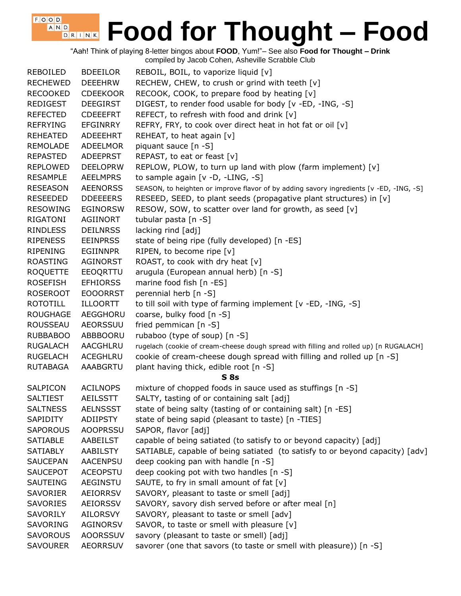"Aah! Think of playing 8-letter bingos about **FOOD**, Yum!"– See also **Food for Thought – Drink** compiled by Jacob Cohen, Asheville Scrabble Club

| REBOILED        | <b>BDEEILOR</b> | REBOIL, BOIL, to vaporize liquid [v]                                                    |
|-----------------|-----------------|-----------------------------------------------------------------------------------------|
| <b>RECHEWED</b> | <b>DEEEHRW</b>  | RECHEW, CHEW, to crush or grind with teeth [v]                                          |
| <b>RECOOKED</b> | <b>CDEEKOOR</b> | RECOOK, COOK, to prepare food by heating [v]                                            |
| <b>REDIGEST</b> | <b>DEEGIRST</b> | DIGEST, to render food usable for body [v -ED, -ING, -S]                                |
| <b>REFECTED</b> | <b>CDEEEFRT</b> | REFECT, to refresh with food and drink [v]                                              |
| <b>REFRYING</b> | <b>EFGINRRY</b> | REFRY, FRY, to cook over direct heat in hot fat or oil [v]                              |
| <b>REHEATED</b> | ADEEEHRT        | REHEAT, to heat again [v]                                                               |
| <b>REMOLADE</b> | ADEELMOR        | piquant sauce [n -S]                                                                    |
| <b>REPASTED</b> | <b>ADEEPRST</b> | REPAST, to eat or feast [v]                                                             |
| <b>REPLOWED</b> | <b>DEELOPRW</b> | REPLOW, PLOW, to turn up land with plow (farm implement) [v]                            |
| <b>RESAMPLE</b> | <b>AEELMPRS</b> | to sample again [v -D, -LING, -S]                                                       |
| <b>RESEASON</b> | <b>AEENORSS</b> | SEASON, to heighten or improve flavor of by adding savory ingredients [v -ED, -ING, -S] |
| <b>RESEEDED</b> | <b>DDEEEERS</b> | RESEED, SEED, to plant seeds (propagative plant structures) in [v]                      |
| <b>RESOWING</b> | <b>EGINORSW</b> | RESOW, SOW, to scatter over land for growth, as seed [v]                                |
| RIGATONI        | AGIINORT        | tubular pasta [n -S]                                                                    |
| <b>RINDLESS</b> | <b>DEILNRSS</b> | lacking rind [adj]                                                                      |
| <b>RIPENESS</b> | <b>EEINPRSS</b> | state of being ripe (fully developed) [n -ES]                                           |
| <b>RIPENING</b> | <b>EGIINNPR</b> | RIPEN, to become ripe [v]                                                               |
| <b>ROASTING</b> | <b>AGINORST</b> | ROAST, to cook with dry heat [v]                                                        |
| <b>ROQUETTE</b> | EEOQRTTU        | arugula (European annual herb) [n -S]                                                   |
| <b>ROSEFISH</b> | <b>EFHIORSS</b> | marine food fish [n -ES]                                                                |
| <b>ROSEROOT</b> | <b>EOOORRST</b> | perennial herb [n -S]                                                                   |
| <b>ROTOTILL</b> | ILLOORTT        | to till soil with type of farming implement [v -ED, -ING, -S]                           |
| <b>ROUGHAGE</b> | AEGGHORU        | coarse, bulky food [n -S]                                                               |
| ROUSSEAU        | AEORSSUU        | fried pemmican [n -S]                                                                   |
| <b>RUBBABOO</b> | ABBBOORU        | rubaboo (type of soup) [n -S]                                                           |
| <b>RUGALACH</b> | AACGHLRU        | rugelach (cookie of cream-cheese dough spread with filling and rolled up) [n RUGALACH]  |
| <b>RUGELACH</b> | ACEGHLRU        | cookie of cream-cheese dough spread with filling and rolled up [n -S]                   |
| <b>RUTABAGA</b> | AAABGRTU        | plant having thick, edible root [n -S]                                                  |
|                 |                 | $S$ 8s                                                                                  |
| SALPICON        | <b>ACILNOPS</b> | mixture of chopped foods in sauce used as stuffings [n -S]                              |
| <b>SALTIEST</b> | <b>AEILSSTT</b> | SALTY, tasting of or containing salt [adj]                                              |
| <b>SALTNESS</b> | <b>AELNSSST</b> | state of being salty (tasting of or containing salt) [n -ES]                            |
| SAPIDITY        | ADIIPSTY        | state of being sapid (pleasant to taste) [n -TIES]                                      |
| <b>SAPOROUS</b> | <b>AOOPRSSU</b> | SAPOR, flavor [adj]                                                                     |
| <b>SATIABLE</b> | AABEILST        | capable of being satiated (to satisfy to or beyond capacity) [adj]                      |
| <b>SATIABLY</b> | <b>AABILSTY</b> | SATIABLE, capable of being satiated (to satisfy to or beyond capacity) [adv]            |
| <b>SAUCEPAN</b> | AACENPSU        | deep cooking pan with handle [n -S]                                                     |
| <b>SAUCEPOT</b> | <b>ACEOPSTU</b> | deep cooking pot with two handles [n -S]                                                |
| <b>SAUTEING</b> | AEGINSTU        | SAUTE, to fry in small amount of fat [v]                                                |
| SAVORIER        | AEIORRSV        | SAVORY, pleasant to taste or smell [adj]                                                |
| <b>SAVORIES</b> | AEIORSSV        | SAVORY, savory dish served before or after meal [n]                                     |
| SAVORILY        | AILORSVY        | SAVORY, pleasant to taste or smell [adv]                                                |
| SAVORING        | AGINORSV        | SAVOR, to taste or smell with pleasure [v]                                              |
| <b>SAVOROUS</b> | <b>AOORSSUV</b> | savory (pleasant to taste or smell) [adj]                                               |
| <b>SAVOURER</b> | <b>AEORRSUV</b> | savorer (one that savors (to taste or smell with pleasure)) [n -S]                      |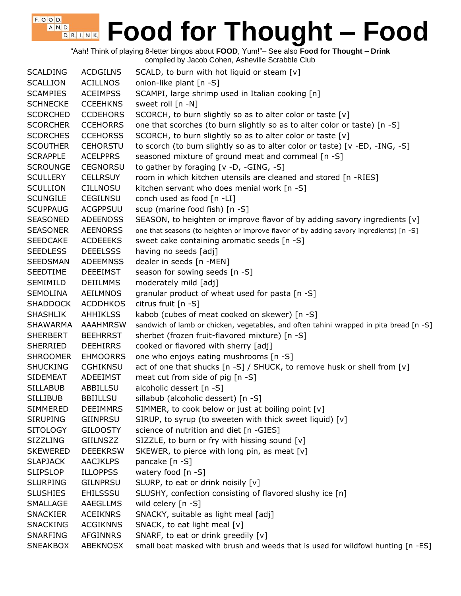"Aah! Think of playing 8-letter bingos about **FOOD**, Yum!"– See also **Food for Thought – Drink** compiled by Jacob Cohen, Asheville Scrabble Club

| <b>SCALDING</b> | <b>ACDGILNS</b> | SCALD, to burn with hot liquid or steam [v]                                             |
|-----------------|-----------------|-----------------------------------------------------------------------------------------|
| <b>SCALLION</b> | <b>ACILLNOS</b> | onion-like plant [n -S]                                                                 |
| <b>SCAMPIES</b> | <b>ACEIMPSS</b> | SCAMPI, large shrimp used in Italian cooking [n]                                        |
| <b>SCHNECKE</b> | <b>CCEEHKNS</b> | sweet roll [n -N]                                                                       |
| <b>SCORCHED</b> | <b>CCDEHORS</b> | SCORCH, to burn slightly so as to alter color or taste [v]                              |
| <b>SCORCHER</b> | <b>CCEHORRS</b> | one that scorches (to burn slightly so as to alter color or taste) [n -S]               |
| <b>SCORCHES</b> | <b>CCEHORSS</b> | SCORCH, to burn slightly so as to alter color or taste [v]                              |
| <b>SCOUTHER</b> | <b>CEHORSTU</b> | to scorch (to burn slightly so as to alter color or taste) [v -ED, -ING, -S]            |
| <b>SCRAPPLE</b> | <b>ACELPPRS</b> | seasoned mixture of ground meat and cornmeal [n -S]                                     |
| <b>SCROUNGE</b> | <b>CEGNORSU</b> | to gather by foraging [v -D, -GING, -S]                                                 |
| <b>SCULLERY</b> | <b>CELLRSUY</b> | room in which kitchen utensils are cleaned and stored [n -RIES]                         |
| <b>SCULLION</b> | <b>CILLNOSU</b> | kitchen servant who does menial work [n -S]                                             |
| <b>SCUNGILE</b> | <b>CEGILNSU</b> | conch used as food $[n - LI]$                                                           |
| <b>SCUPPAUG</b> | <b>ACGPPSUU</b> | scup (marine food fish) [n -S]                                                          |
| <b>SEASONED</b> | <b>ADEENOSS</b> | SEASON, to heighten or improve flavor of by adding savory ingredients [v]               |
| <b>SEASONER</b> | <b>AEENORSS</b> | one that seasons (to heighten or improve flavor of by adding savory ingredients) [n -S] |
| <b>SEEDCAKE</b> | <b>ACDEEEKS</b> | sweet cake containing aromatic seeds [n -S]                                             |
| <b>SEEDLESS</b> | <b>DEEELSSS</b> | having no seeds [adj]                                                                   |
| <b>SEEDSMAN</b> | <b>ADEEMNSS</b> | dealer in seeds [n -MEN]                                                                |
| <b>SEEDTIME</b> | <b>DEEEIMST</b> | season for sowing seeds [n -S]                                                          |
| SEMIMILD        | <b>DEIILMMS</b> | moderately mild [adj]                                                                   |
| <b>SEMOLINA</b> | <b>AEILMNOS</b> | granular product of wheat used for pasta [n -S]                                         |
| <b>SHADDOCK</b> | <b>ACDDHKOS</b> | citrus fruit [n -S]                                                                     |
| <b>SHASHLIK</b> | <b>AHHIKLSS</b> | kabob (cubes of meat cooked on skewer) [n -S]                                           |
| <b>SHAWARMA</b> | <b>AAAHMRSW</b> | sandwich of lamb or chicken, vegetables, and often tahini wrapped in pita bread [n -S]  |
| <b>SHERBERT</b> | <b>BEEHRRST</b> | sherbet (frozen fruit-flavored mixture) [n -S]                                          |
| <b>SHERRIED</b> | <b>DEEHIRRS</b> | cooked or flavored with sherry [adj]                                                    |
| <b>SHROOMER</b> | <b>EHMOORRS</b> | one who enjoys eating mushrooms [n -S]                                                  |
| <b>SHUCKING</b> | <b>CGHIKNSU</b> | act of one that shucks [n -S] / SHUCK, to remove husk or shell from [v]                 |
| <b>SIDEMEAT</b> | <b>ADEEIMST</b> | meat cut from side of pig [n -S]                                                        |
| <b>SILLABUB</b> | ABBILLSU        | alcoholic dessert [n -S]                                                                |
| <b>SILLIBUB</b> | <b>BBIILLSU</b> | sillabub (alcoholic dessert) [n -S]                                                     |
| <b>SIMMERED</b> | <b>DEEIMMRS</b> | SIMMER, to cook below or just at boiling point [v]                                      |
| <b>SIRUPING</b> | GIINPRSU        | SIRUP, to syrup (to sweeten with thick sweet liquid) [v]                                |
| <b>SITOLOGY</b> | <b>GILOOSTY</b> | science of nutrition and diet [n -GIES]                                                 |
| <b>SIZZLING</b> | <b>GIILNSZZ</b> | SIZZLE, to burn or fry with hissing sound [v]                                           |
| <b>SKEWERED</b> | <b>DEEEKRSW</b> | SKEWER, to pierce with long pin, as meat [v]                                            |
| <b>SLAPJACK</b> | <b>AACJKLPS</b> |                                                                                         |
|                 |                 | pancake [n -S]                                                                          |
| <b>SLIPSLOP</b> | <b>ILLOPPSS</b> | watery food $[n -S]$                                                                    |
| <b>SLURPING</b> | <b>GILNPRSU</b> | SLURP, to eat or drink noisily [v]                                                      |
| <b>SLUSHIES</b> | <b>EHILSSSU</b> | SLUSHY, confection consisting of flavored slushy ice [n]                                |
| SMALLAGE        | <b>AAEGLLMS</b> | wild celery $[n - S]$                                                                   |
| <b>SNACKIER</b> | <b>ACEIKNRS</b> | SNACKY, suitable as light meal [adj]                                                    |
| <b>SNACKING</b> | <b>ACGIKNNS</b> | SNACK, to eat light meal [v]                                                            |
| <b>SNARFING</b> | <b>AFGINNRS</b> | SNARF, to eat or drink greedily [v]                                                     |
| <b>SNEAKBOX</b> | <b>ABEKNOSX</b> | small boat masked with brush and weeds that is used for wildfowl hunting [n -ES]        |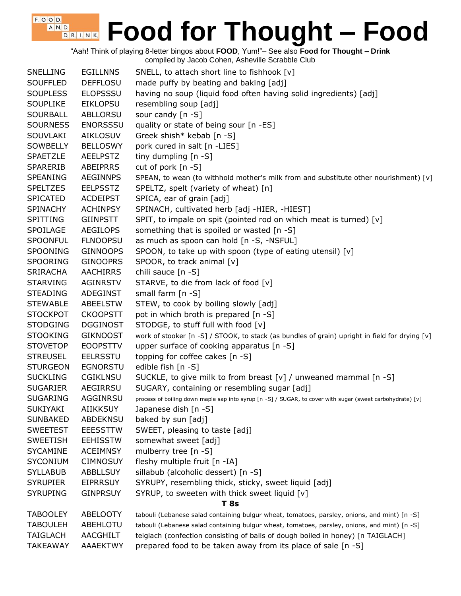"Aah! Think of playing 8-letter bingos about **FOOD**, Yum!"– See also **Food for Thought – Drink** compiled by Jacob Cohen, Asheville Scrabble Club

 $F$ , O, O, D, A N D

| <b>SNELLING</b> | <b>EGILLNNS</b> | SNELL, to attach short line to fishhook [v]                                                               |
|-----------------|-----------------|-----------------------------------------------------------------------------------------------------------|
| <b>SOUFFLED</b> | <b>DEFFLOSU</b> | made puffy by beating and baking [adj]                                                                    |
| <b>SOUPLESS</b> | <b>ELOPSSSU</b> | having no soup (liquid food often having solid ingredients) [adj]                                         |
| <b>SOUPLIKE</b> | <b>EIKLOPSU</b> | resembling soup [adj]                                                                                     |
| <b>SOURBALL</b> | ABLLORSU        | sour candy $[n -S]$                                                                                       |
| <b>SOURNESS</b> | <b>ENORSSSU</b> | quality or state of being sour [n -ES]                                                                    |
| <b>SOUVLAKI</b> | <b>AIKLOSUV</b> | Greek shish* kebab $[n - S]$                                                                              |
| <b>SOWBELLY</b> | <b>BELLOSWY</b> | pork cured in salt [n -LIES]                                                                              |
| <b>SPAETZLE</b> | <b>AEELPSTZ</b> | tiny dumpling [n -S]                                                                                      |
| <b>SPARERIB</b> | <b>ABEIPRRS</b> | cut of pork [n -S]                                                                                        |
| <b>SPEANING</b> | <b>AEGINNPS</b> | SPEAN, to wean (to withhold mother's milk from and substitute other nourishment) [v]                      |
| <b>SPELTZES</b> | <b>EELPSSTZ</b> | SPELTZ, spelt (variety of wheat) [n]                                                                      |
| <b>SPICATED</b> | <b>ACDEIPST</b> | SPICA, ear of grain [adj]                                                                                 |
| <b>SPINACHY</b> | <b>ACHINPSY</b> | SPINACH, cultivated herb [adj -HIER, -HIEST]                                                              |
| <b>SPITTING</b> | <b>GIINPSTT</b> | SPIT, to impale on spit (pointed rod on which meat is turned) [v]                                         |
| SPOILAGE        | <b>AEGILOPS</b> | something that is spoiled or wasted [n -S]                                                                |
| <b>SPOONFUL</b> | <b>FLNOOPSU</b> | as much as spoon can hold [n -S, -NSFUL]                                                                  |
| SPOONING        | <b>GINNOOPS</b> | SPOON, to take up with spoon (type of eating utensil) [v]                                                 |
| <b>SPOORING</b> | <b>GINOOPRS</b> | SPOOR, to track animal [v]                                                                                |
| <b>SRIRACHA</b> | <b>AACHIRRS</b> | chili sauce [n -S]                                                                                        |
| <b>STARVING</b> | <b>AGINRSTV</b> | STARVE, to die from lack of food [v]                                                                      |
| <b>STEADING</b> | ADEGINST        | small farm $[n -S]$                                                                                       |
| <b>STEWABLE</b> | <b>ABEELSTW</b> |                                                                                                           |
|                 |                 | STEW, to cook by boiling slowly [adj]                                                                     |
| <b>STOCKPOT</b> | <b>CKOOPSTT</b> | pot in which broth is prepared [n -S]                                                                     |
| <b>STODGING</b> | <b>DGGINOST</b> | STODGE, to stuff full with food [v]                                                                       |
| <b>STOOKING</b> | <b>GIKNOOST</b> | work of stooker [n -S] / STOOK, to stack (as bundles of grain) upright in field for drying [v]            |
| <b>STOVETOP</b> | <b>EOOPSTTV</b> | upper surface of cooking apparatus [n -S]                                                                 |
| <b>STREUSEL</b> | <b>EELRSSTU</b> | topping for coffee cakes [n -S]                                                                           |
| <b>STURGEON</b> | <b>EGNORSTU</b> | edible fish [n -S]                                                                                        |
| <b>SUCKLING</b> | <b>CGIKLNSU</b> | SUCKLE, to give milk to from breast [v] / unweaned mammal [n -S]                                          |
| <b>SUGARIER</b> | AEGIRRSU        | SUGARY, containing or resembling sugar [adj]                                                              |
| <b>SUGARING</b> | AGGINRSU        | process of boiling down maple sap into syrup [n -S] / SUGAR, to cover with sugar (sweet carbohydrate) [v] |
| <b>SUKIYAKI</b> | <b>AIIKKSUY</b> | Japanese dish [n -S]                                                                                      |
| <b>SUNBAKED</b> | ABDEKNSU        | baked by sun [adj]                                                                                        |
| <b>SWEETEST</b> | <b>EEESSTTW</b> | SWEET, pleasing to taste [adj]                                                                            |
| <b>SWEETISH</b> | <b>EEHISSTW</b> | somewhat sweet [adj]                                                                                      |
| <b>SYCAMINE</b> | <b>ACEIMNSY</b> | mulberry tree [n -S]                                                                                      |
| <b>SYCONIUM</b> | <b>CIMNOSUY</b> | fleshy multiple fruit [n -IA]                                                                             |
| <b>SYLLABUB</b> | <b>ABBLLSUY</b> | sillabub (alcoholic dessert) [n -S]                                                                       |
| <b>SYRUPIER</b> | <b>EIPRRSUY</b> | SYRUPY, resembling thick, sticky, sweet liquid [adj]                                                      |
| <b>SYRUPING</b> | <b>GINPRSUY</b> | SYRUP, to sweeten with thick sweet liquid [v]                                                             |
|                 |                 | <b>T</b> 8s                                                                                               |
| <b>TABOOLEY</b> | <b>ABELOOTY</b> | tabouli (Lebanese salad containing bulgur wheat, tomatoes, parsley, onions, and mint) [n -S]              |
| <b>TABOULEH</b> | ABEHLOTU        | tabouli (Lebanese salad containing bulgur wheat, tomatoes, parsley, onions, and mint) [n -S]              |
| <b>TAIGLACH</b> | AACGHILT        | teiglach (confection consisting of balls of dough boiled in honey) [n TAIGLACH]                           |
| <b>TAKEAWAY</b> | AAAEKTWY        | prepared food to be taken away from its place of sale [n -S]                                              |
|                 |                 |                                                                                                           |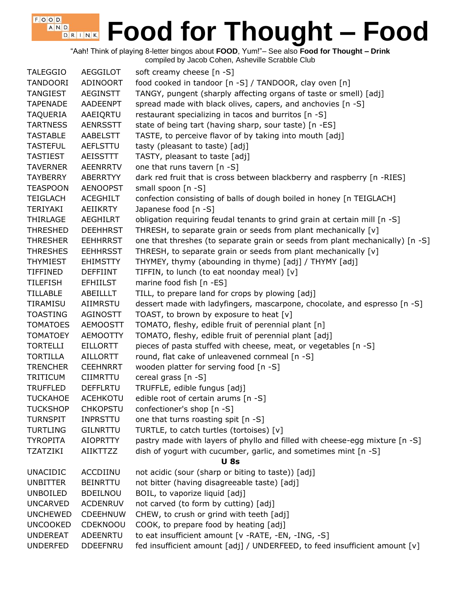"Aah! Think of playing 8-letter bingos about **FOOD**, Yum!"– See also **Food for Thought – Drink** compiled by Jacob Cohen, Asheville Scrabble Club

 $F, O, O, D$  $A_i$  N,  $D_i$ 

TALEGGIO AEGGILOT soft creamy cheese [n -S] TANDOORI ADINOORT food cooked in tandoor [n -S] / TANDOOR, clay oven [n] TANGIEST AEGINSTT TANGY, pungent (sharply affecting organs of taste or smell) [adj] TAPENADE AADEENPT spread made with black olives, capers, and anchovies [n -S] TAQUERIA AAEIQRTU restaurant specializing in tacos and burritos [n -S] TARTNESS AENRSSTT state of being tart (having sharp, sour taste) [n -ES] TASTABLE AABELSTT TASTE, to perceive flavor of by taking into mouth [adj] TASTEFUL AEFLSTTU tasty (pleasant to taste) [adj] TASTIEST AEISSTTT TASTY, pleasant to taste [adj] TAVERNER AEENRRTV one that runs tavern [n -S] TAYBERRY ABERRTYY dark red fruit that is cross between blackberry and raspberry [n -RIES] TEASPOON AENOOPST small spoon [n -S] TEIGLACH ACEGHILT confection consisting of balls of dough boiled in honey [n TEIGLACH] TERIYAKI AEIIKRTY Japanese food [n -S] THIRLAGE AEGHILRT obligation requiring feudal tenants to grind grain at certain mill [n -S] THRESHED DEEHHRST THRESH, to separate grain or seeds from plant mechanically [v] THRESHER EEHHRRST one that threshes (to separate grain or seeds from plant mechanically) [n -S] THRESHES EEHHRSST THRESH, to separate grain or seeds from plant mechanically [v] THYMIEST EHIMSTTY THYMEY, thymy (abounding in thyme) [adj] / THYMY [adj] TIFFINED DEFFIINT TIFFIN, to lunch (to eat noonday meal) [v] TILEFISH EFHIILST marine food fish [n -ES] TILLABLE ABEILLLT TILL, to prepare land for crops by plowing [adj] TIRAMISU AIIMRSTU dessert made with ladyfingers, mascarpone, chocolate, and espresso [n -S] TOASTING AGINOSTT TOAST, to brown by exposure to heat [v] TOMATOES AEMOOSTT TOMATO, fleshy, edible fruit of perennial plant [n] TOMATOEY AEMOOTTY TOMATO, fleshy, edible fruit of perennial plant [adj] TORTELLI EILLORTT pieces of pasta stuffed with cheese, meat, or vegetables [n -S] TORTILLA AILLORTT round, flat cake of unleavened cornmeal [n -S] TRENCHER CEEHNRRT wooden platter for serving food [n -S] TRITICUM CIIMRTTU cereal grass [n -S] TRUFFLED DEFFLRTU TRUFFLE, edible fungus [adj] TUCKAHOE ACEHKOTU edible root of certain arums [n -S] TUCKSHOP CHKOPSTU confectioner's shop [n -S] TURNSPIT INPRSTTU one that turns roasting spit [n -S] TURTLING GILNRTTU TURTLE, to catch turtles (tortoises) [v] TYROPITA AIOPRTTY pastry made with layers of phyllo and filled with cheese-egg mixture [n -S] TZATZIKI AIIKTTZZ dish of yogurt with cucumber, garlic, and sometimes mint [n -S] **U 8s** UNACIDIC ACCDIINU not acidic (sour (sharp or biting to taste)) [adj] UNBITTER BEINRTTU not bitter (having disagreeable taste) [adj] UNBOILED BDEILNOU BOIL, to vaporize liquid [adj] UNCARVED ACDENRUV not carved (to form by cutting) [adj] UNCHEWED CDEEHNUW CHEW, to crush or grind with teeth [adj] UNCOOKED CDEKNOOU COOK, to prepare food by heating [adj] UNDEREAT ADEENRTU to eat insufficient amount [v -RATE, -EN, -ING, -S] UNDERFED DDEEFNRU fed insufficient amount [adj] / UNDERFEED, to feed insufficient amount [v]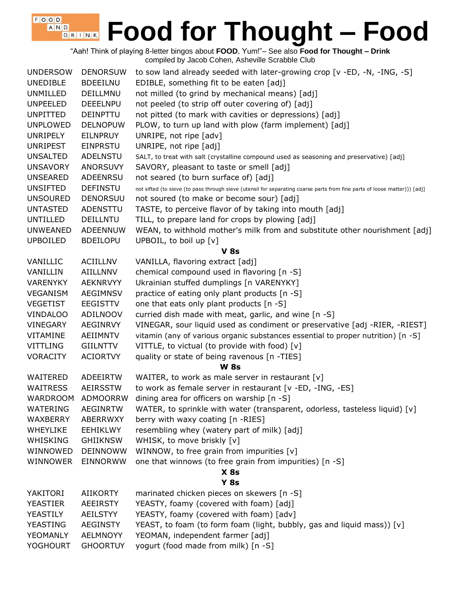"Aah! Think of playing 8-letter bingos about **FOOD**, Yum!"– See also **Food for Thought – Drink** compiled by Jacob Cohen, Asheville Scrabble Club

| <b>UNDERSOW</b> | <b>DENORSUW</b> | to sow land already seeded with later-growing crop [v -ED, -N, -ING, -S]                                                  |
|-----------------|-----------------|---------------------------------------------------------------------------------------------------------------------------|
| <b>UNEDIBLE</b> | <b>BDEEILNU</b> | EDIBLE, something fit to be eaten [adj]                                                                                   |
| UNMILLED        | DEILLMNU        | not milled (to grind by mechanical means) [adj]                                                                           |
| <b>UNPEELED</b> | <b>DEEELNPU</b> | not peeled (to strip off outer covering of) [adj]                                                                         |
| <b>UNPITTED</b> | <b>DEINPTTU</b> | not pitted (to mark with cavities or depressions) [adj]                                                                   |
| <b>UNPLOWED</b> | <b>DELNOPUW</b> | PLOW, to turn up land with plow (farm implement) [adj]                                                                    |
| <b>UNRIPELY</b> | <b>EILNPRUY</b> | UNRIPE, not ripe [adv]                                                                                                    |
| <b>UNRIPEST</b> | <b>EINPRSTU</b> | UNRIPE, not ripe [adj]                                                                                                    |
| <b>UNSALTED</b> | ADELNSTU        | SALT, to treat with salt (crystalline compound used as seasoning and preservative) [adj]                                  |
| <b>UNSAVORY</b> | <b>ANORSUVY</b> | SAVORY, pleasant to taste or smell [adj]                                                                                  |
| <b>UNSEARED</b> | ADEENRSU        | not seared (to burn surface of) [adj]                                                                                     |
| <b>UNSIFTED</b> | <b>DEFINSTU</b> | not sifted (to sieve (to pass through sieve (utensil for separating coarse parts from fine parts of loose matter))) [adj] |
| <b>UNSOURED</b> | <b>DENORSUU</b> | not soured (to make or become sour) [adj]                                                                                 |
| <b>UNTASTED</b> | ADENSTTU        | TASTE, to perceive flavor of by taking into mouth [adj]                                                                   |
| <b>UNTILLED</b> | DEILLNTU        | TILL, to prepare land for crops by plowing [adj]                                                                          |
| <b>UNWEANED</b> | <b>ADEENNUW</b> | WEAN, to withhold mother's milk from and substitute other nourishment [adj]                                               |
| <b>UPBOILED</b> | <b>BDEILOPU</b> | UPBOIL, to boil up [v]                                                                                                    |
|                 |                 | <b>V</b> 8s                                                                                                               |
| VANILLIC        | <b>ACIILLNV</b> | VANILLA, flavoring extract [adj]                                                                                          |
| VANILLIN        | AIILLNNV        | chemical compound used in flavoring [n -S]                                                                                |
| <b>VARENYKY</b> | <b>AEKNRVYY</b> | Ukrainian stuffed dumplings [n VARENYKY]                                                                                  |
| <b>VEGANISM</b> | <b>AEGIMNSV</b> | practice of eating only plant products [n -S]                                                                             |
| <b>VEGETIST</b> | <b>EEGISTTV</b> | one that eats only plant products [n -S]                                                                                  |
| <b>VINDALOO</b> | ADILNOOV        | curried dish made with meat, garlic, and wine [n -S]                                                                      |
| <b>VINEGARY</b> | <b>AEGINRVY</b> | VINEGAR, sour liquid used as condiment or preservative [adj -RIER, -RIEST]                                                |
| VITAMINE        | AEIIMNTV        | vitamin (any of various organic substances essential to proper nutrition) [n -S]                                          |
| <b>VITTLING</b> | <b>GIILNTTV</b> | VITTLE, to victual (to provide with food) [v]                                                                             |
| <b>VORACITY</b> | <b>ACIORTVY</b> | quality or state of being ravenous [n -TIES]                                                                              |
|                 |                 | <b>W</b> 8s                                                                                                               |
| WAITERED        | ADEEIRTW        | WAITER, to work as male server in restaurant [v]                                                                          |
| <b>WAITRESS</b> | <b>AEIRSSTW</b> | to work as female server in restaurant [v -ED, -ING, -ES]                                                                 |
| <b>WARDROOM</b> | <b>ADMOORRW</b> | dining area for officers on warship $[n -S]$                                                                              |
| <b>WATERING</b> | <b>AEGINRTW</b> | WATER, to sprinkle with water (transparent, odorless, tasteless liquid) $[v]$                                             |
| WAXBERRY        | ABERRWXY        | berry with waxy coating [n -RIES]                                                                                         |
| <b>WHEYLIKE</b> | <b>EEHIKLWY</b> | resembling whey (watery part of milk) [adj]                                                                               |
| WHISKING        | <b>GHIIKNSW</b> | WHISK, to move briskly [v]                                                                                                |
| WINNOWED        | <b>DEINNOWW</b> | WINNOW, to free grain from impurities $[v]$                                                                               |
| WINNOWER        | <b>EINNORWW</b> | one that winnows (to free grain from impurities) [n -S]                                                                   |
|                 |                 | $X$ 8s                                                                                                                    |
|                 |                 | <b>Y 8s</b>                                                                                                               |
| YAKITORI        | <b>AIIKORTY</b> | marinated chicken pieces on skewers [n -S]                                                                                |
| <b>YEASTIER</b> | <b>AEEIRSTY</b> | YEASTY, foamy (covered with foam) [adj]                                                                                   |
| YEASTILY        | <b>AEILSTYY</b> | YEASTY, foamy (covered with foam) [adv]                                                                                   |
| YEASTING        | <b>AEGINSTY</b> | YEAST, to foam (to form foam (light, bubbly, gas and liquid mass)) [v]                                                    |
| YEOMANLY        | <b>AELMNOYY</b> | YEOMAN, independent farmer [adj]                                                                                          |
| <b>YOGHOURT</b> | <b>GHOORTUY</b> | yogurt (food made from milk) [n -S]                                                                                       |